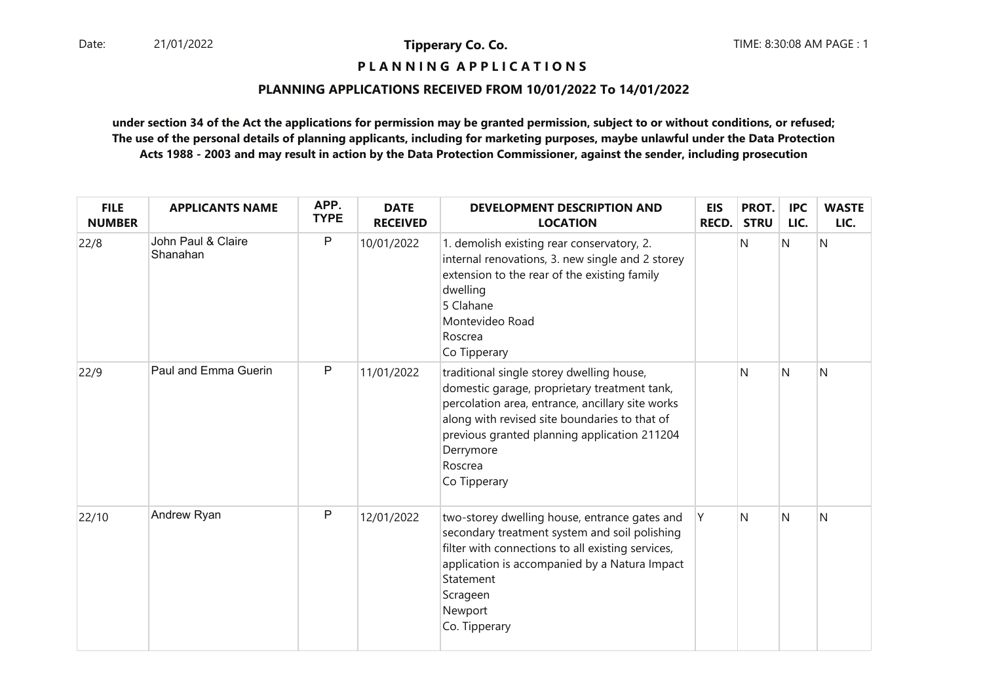**P L A N N I N G A P P L I C A T I O N S** 

#### **PLANNING APPLICATIONS RECEIVED FROM 10/01/2022 To 14/01/2022**

| <b>FILE</b><br><b>NUMBER</b> | <b>APPLICANTS NAME</b>         | APP.<br><b>TYPE</b> | <b>DATE</b><br><b>RECEIVED</b> | DEVELOPMENT DESCRIPTION AND<br><b>LOCATION</b>                                                                                                                                                                                                                                         | <b>EIS</b><br><b>RECD.</b> | PROT.<br><b>STRU</b> | <b>IPC</b><br>LIC. | <b>WASTE</b><br>LIC. |
|------------------------------|--------------------------------|---------------------|--------------------------------|----------------------------------------------------------------------------------------------------------------------------------------------------------------------------------------------------------------------------------------------------------------------------------------|----------------------------|----------------------|--------------------|----------------------|
| 22/8                         | John Paul & Claire<br>Shanahan | P                   | 10/01/2022                     | 1. demolish existing rear conservatory, 2.<br>internal renovations, 3. new single and 2 storey<br>extension to the rear of the existing family<br>dwelling<br>5 Clahane<br>Montevideo Road<br>Roscrea<br>Co Tipperary                                                                  |                            | N                    | N                  | N                    |
| 22/9                         | Paul and Emma Guerin           | $\mathsf{P}$        | 11/01/2022                     | traditional single storey dwelling house,<br>domestic garage, proprietary treatment tank,<br>percolation area, entrance, ancillary site works<br>along with revised site boundaries to that of<br>previous granted planning application 211204<br>Derrymore<br>Roscrea<br>Co Tipperary |                            | N                    | N                  | N                    |
| 22/10                        | Andrew Ryan                    | P                   | 12/01/2022                     | two-storey dwelling house, entrance gates and<br>secondary treatment system and soil polishing<br>filter with connections to all existing services,<br>application is accompanied by a Natura Impact<br>Statement<br>Scrageen<br>Newport<br>Co. Tipperary                              | Y                          | $\mathsf{N}$         | N                  | N                    |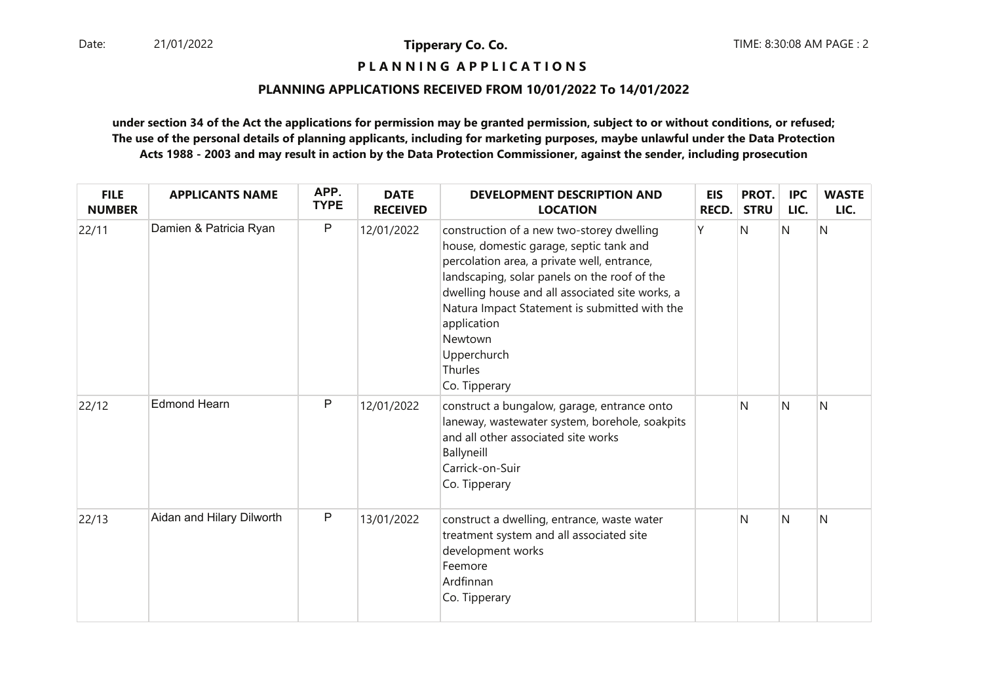**P L A N N I N G A P P L I C A T I O N S** 

#### **PLANNING APPLICATIONS RECEIVED FROM 10/01/2022 To 14/01/2022**

| <b>FILE</b><br><b>NUMBER</b> | <b>APPLICANTS NAME</b>    | APP.<br><b>TYPE</b> | <b>DATE</b><br><b>RECEIVED</b> | <b>DEVELOPMENT DESCRIPTION AND</b><br><b>LOCATION</b>                                                                                                                                                                                                                                                                                                        | <b>EIS</b><br>RECD. | PROT.<br><b>STRU</b> | <b>IPC</b><br>LIC. | <b>WASTE</b><br>LIC. |
|------------------------------|---------------------------|---------------------|--------------------------------|--------------------------------------------------------------------------------------------------------------------------------------------------------------------------------------------------------------------------------------------------------------------------------------------------------------------------------------------------------------|---------------------|----------------------|--------------------|----------------------|
| 22/11                        | Damien & Patricia Ryan    | $\mathsf{P}$        | 12/01/2022                     | construction of a new two-storey dwelling<br>house, domestic garage, septic tank and<br>percolation area, a private well, entrance,<br>landscaping, solar panels on the roof of the<br>dwelling house and all associated site works, a<br>Natura Impact Statement is submitted with the<br>application<br>Newtown<br>Upperchurch<br>Thurles<br>Co. Tipperary | Υ                   | N                    | N                  | N                    |
| 22/12                        | <b>Edmond Hearn</b>       | P                   | 12/01/2022                     | construct a bungalow, garage, entrance onto<br>laneway, wastewater system, borehole, soakpits<br>and all other associated site works<br>Ballyneill<br>Carrick-on-Suir<br>Co. Tipperary                                                                                                                                                                       |                     | N                    | Ν                  | N                    |
| 22/13                        | Aidan and Hilary Dilworth | $\mathsf{P}$        | 13/01/2022                     | construct a dwelling, entrance, waste water<br>treatment system and all associated site<br>development works<br>Feemore<br>Ardfinnan<br>Co. Tipperary                                                                                                                                                                                                        |                     | N                    | Ν                  | N                    |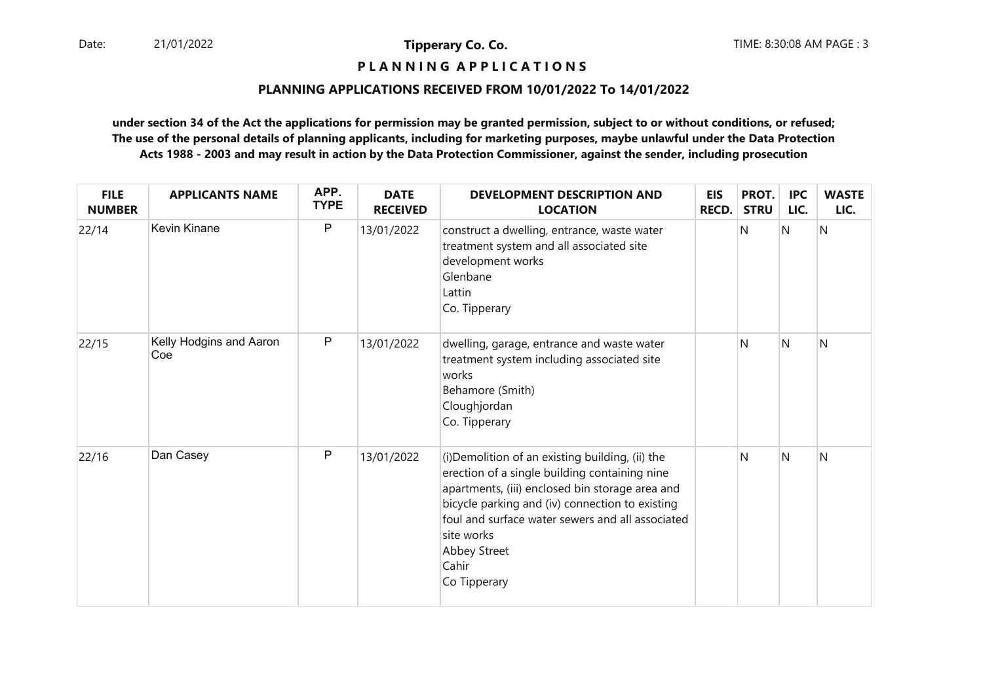**P L A N N I N G A P P L I C A T I O N S** 

#### **PLANNING APPLICATIONS RECEIVED FROM 10/01/2022 To 14/01/2022**

| <b>FILE</b><br><b>NUMBER</b> | <b>APPLICANTS NAME</b>         | APP.<br><b>TYPE</b> | <b>DATE</b><br><b>RECEIVED</b> | <b>DEVELOPMENT DESCRIPTION AND</b><br><b>LOCATION</b>                                                                                                                                                                                                                                                              | <b>EIS</b><br>RECD. | PROT.<br><b>STRU</b> | <b>IPC</b><br>LIC. | <b>WASTE</b><br>LIC. |
|------------------------------|--------------------------------|---------------------|--------------------------------|--------------------------------------------------------------------------------------------------------------------------------------------------------------------------------------------------------------------------------------------------------------------------------------------------------------------|---------------------|----------------------|--------------------|----------------------|
| 22/14                        | Kevin Kinane                   | $\mathsf{P}$        | 13/01/2022                     | construct a dwelling, entrance, waste water<br>treatment system and all associated site<br>development works<br>Glenbane<br>Lattin<br>Co. Tipperary                                                                                                                                                                |                     | N                    | Ν                  | N                    |
| 22/15                        | Kelly Hodgins and Aaron<br>Coe | $\mathsf{P}$        | 13/01/2022                     | dwelling, garage, entrance and waste water<br>treatment system including associated site<br>works<br>Behamore (Smith)<br>Cloughjordan<br>Co. Tipperary                                                                                                                                                             |                     | N                    | N                  | N                    |
| 22/16                        | Dan Casey                      | $\mathsf{P}$        | 13/01/2022                     | (i) Demolition of an existing building, (ii) the<br>erection of a single building containing nine<br>apartments, (iii) enclosed bin storage area and<br>bicycle parking and (iv) connection to existing<br>foul and surface water sewers and all associated<br>site works<br>Abbey Street<br>Cahir<br>Co Tipperary |                     | N                    | N                  | N                    |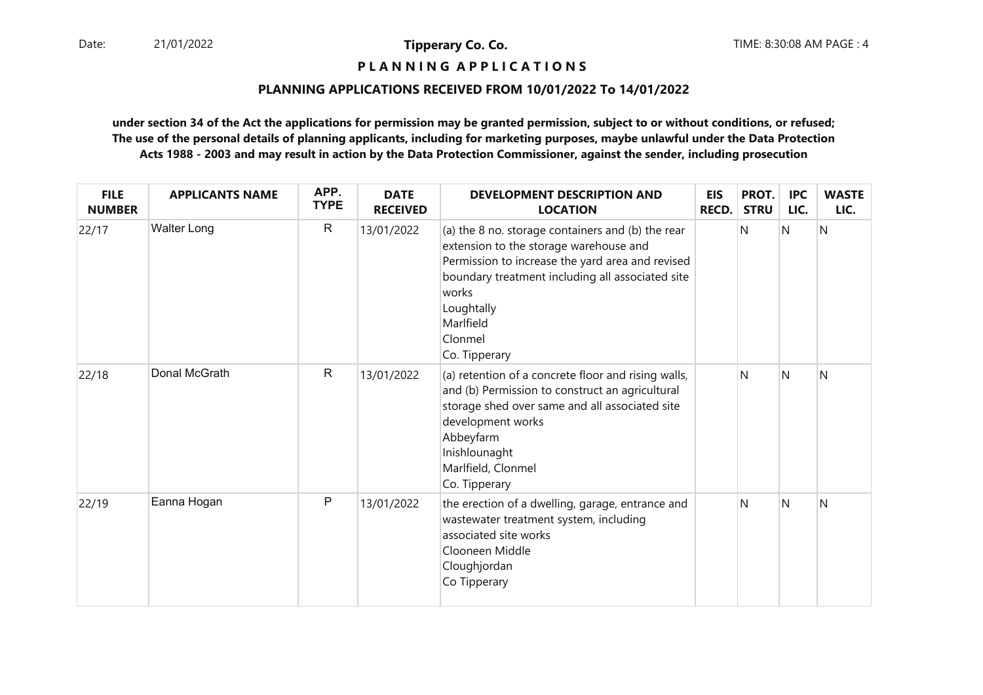**P L A N N I N G A P P L I C A T I O N S** 

#### **PLANNING APPLICATIONS RECEIVED FROM 10/01/2022 To 14/01/2022**

| <b>FILE</b><br><b>NUMBER</b> | <b>APPLICANTS NAME</b> | APP.<br><b>TYPE</b> | <b>DATE</b><br><b>RECEIVED</b> | <b>DEVELOPMENT DESCRIPTION AND</b><br><b>LOCATION</b>                                                                                                                                                                                                               | <b>EIS</b><br><b>RECD.</b> | PROT.<br><b>STRU</b> | <b>IPC</b><br>LIC. | <b>WASTE</b><br>LIC. |
|------------------------------|------------------------|---------------------|--------------------------------|---------------------------------------------------------------------------------------------------------------------------------------------------------------------------------------------------------------------------------------------------------------------|----------------------------|----------------------|--------------------|----------------------|
| 22/17                        | <b>Walter Long</b>     | $\mathsf{R}$        | 13/01/2022                     | (a) the 8 no. storage containers and (b) the rear<br>extension to the storage warehouse and<br>Permission to increase the yard area and revised<br>boundary treatment including all associated site<br>works<br>Loughtally<br>Marlfield<br>Clonmel<br>Co. Tipperary |                            | N                    | IN.                | Ν                    |
| 22/18                        | Donal McGrath          | $\mathsf R$         | 13/01/2022                     | (a) retention of a concrete floor and rising walls,<br>and (b) Permission to construct an agricultural<br>storage shed over same and all associated site<br>development works<br>Abbeyfarm<br>Inishlounaght<br>Marlfield, Clonmel<br>Co. Tipperary                  |                            | N                    | N                  | N                    |
| 22/19                        | Eanna Hogan            | P                   | 13/01/2022                     | the erection of a dwelling, garage, entrance and<br>wastewater treatment system, including<br>associated site works<br>Clooneen Middle<br>Cloughjordan<br>Co Tipperary                                                                                              |                            | N                    | <sup>N</sup>       | N                    |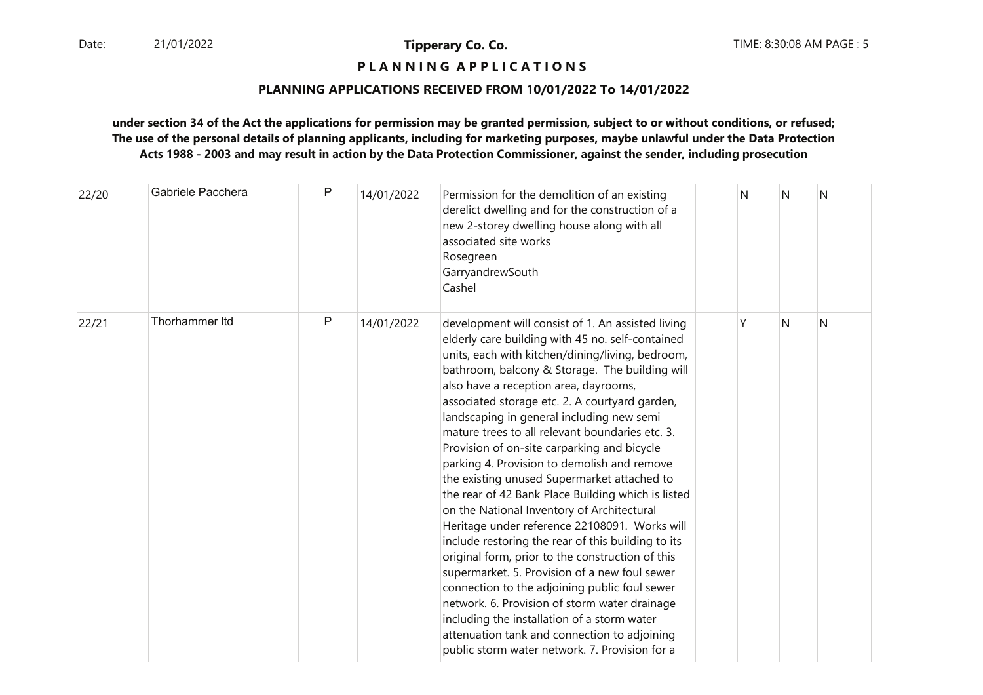## **P L A N N I N G A P P L I C A T I O N S**

#### **PLANNING APPLICATIONS RECEIVED FROM 10/01/2022 To 14/01/2022**

| 22/20 | Gabriele Pacchera | P | 14/01/2022 | Permission for the demolition of an existing<br>derelict dwelling and for the construction of a<br>new 2-storey dwelling house along with all<br>associated site works<br>Rosegreen<br>GarryandrewSouth<br>Cashel                                                                                                                                                                                                                                                                                                                                                                                                                                                                                                                                                                                                                                                                                                                                                                                                                                                                                                      | N | N | N |
|-------|-------------------|---|------------|------------------------------------------------------------------------------------------------------------------------------------------------------------------------------------------------------------------------------------------------------------------------------------------------------------------------------------------------------------------------------------------------------------------------------------------------------------------------------------------------------------------------------------------------------------------------------------------------------------------------------------------------------------------------------------------------------------------------------------------------------------------------------------------------------------------------------------------------------------------------------------------------------------------------------------------------------------------------------------------------------------------------------------------------------------------------------------------------------------------------|---|---|---|
| 22/21 | Thorhammer Itd    | P | 14/01/2022 | development will consist of 1. An assisted living<br>elderly care building with 45 no. self-contained<br>units, each with kitchen/dining/living, bedroom,<br>bathroom, balcony & Storage. The building will<br>also have a reception area, dayrooms,<br>associated storage etc. 2. A courtyard garden,<br>landscaping in general including new semi<br>mature trees to all relevant boundaries etc. 3.<br>Provision of on-site carparking and bicycle<br>parking 4. Provision to demolish and remove<br>the existing unused Supermarket attached to<br>the rear of 42 Bank Place Building which is listed<br>on the National Inventory of Architectural<br>Heritage under reference 22108091. Works will<br>include restoring the rear of this building to its<br>original form, prior to the construction of this<br>supermarket. 5. Provision of a new foul sewer<br>connection to the adjoining public foul sewer<br>network. 6. Provision of storm water drainage<br>including the installation of a storm water<br>attenuation tank and connection to adjoining<br>public storm water network. 7. Provision for a | Υ | N | N |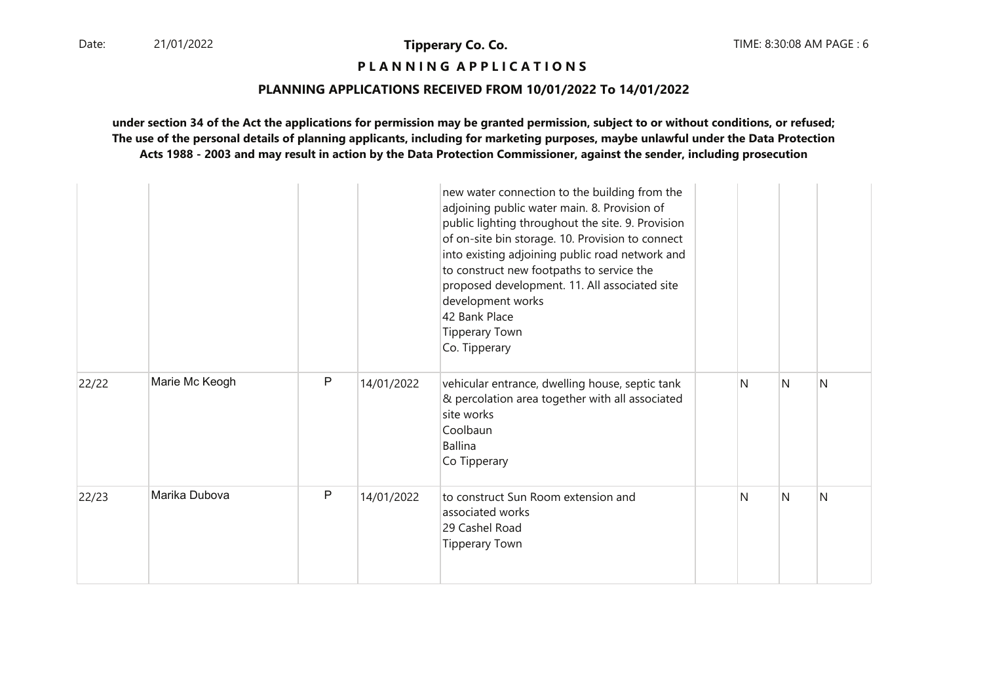## **P L A N N I N G A P P L I C A T I O N S**

#### **PLANNING APPLICATIONS RECEIVED FROM 10/01/2022 To 14/01/2022**

|       |                |   |            | new water connection to the building from the<br>adjoining public water main. 8. Provision of<br>public lighting throughout the site. 9. Provision<br>of on-site bin storage. 10. Provision to connect<br>into existing adjoining public road network and<br>to construct new footpaths to service the<br>proposed development. 11. All associated site<br>development works<br>42 Bank Place<br><b>Tipperary Town</b><br>Co. Tipperary |   |   |   |
|-------|----------------|---|------------|-----------------------------------------------------------------------------------------------------------------------------------------------------------------------------------------------------------------------------------------------------------------------------------------------------------------------------------------------------------------------------------------------------------------------------------------|---|---|---|
| 22/22 | Marie Mc Keogh | P | 14/01/2022 | vehicular entrance, dwelling house, septic tank<br>& percolation area together with all associated<br>site works<br>Coolbaun<br><b>Ballina</b><br>Co Tipperary                                                                                                                                                                                                                                                                          | N | N | N |
| 22/23 | Marika Dubova  | P | 14/01/2022 | to construct Sun Room extension and<br>associated works<br>29 Cashel Road<br><b>Tipperary Town</b>                                                                                                                                                                                                                                                                                                                                      | N | N | N |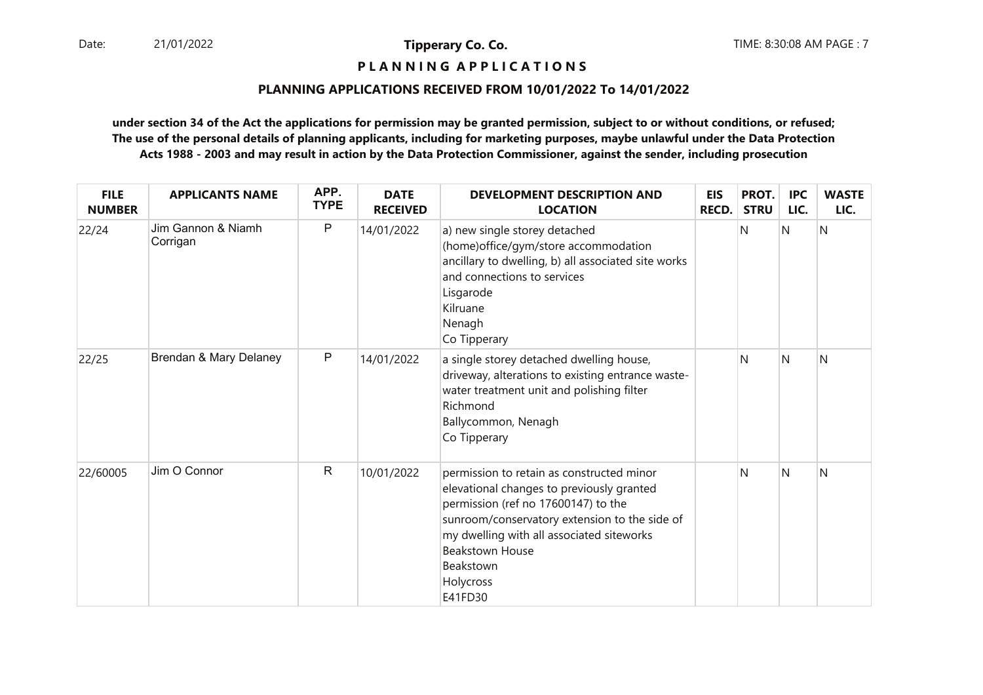**P L A N N I N G A P P L I C A T I O N S** 

#### **PLANNING APPLICATIONS RECEIVED FROM 10/01/2022 To 14/01/2022**

| <b>FILE</b><br><b>NUMBER</b> | <b>APPLICANTS NAME</b>         | APP.<br><b>TYPE</b> | <b>DATE</b><br><b>RECEIVED</b> | <b>DEVELOPMENT DESCRIPTION AND</b><br><b>LOCATION</b>                                                                                                                                                                                                                                      | <b>EIS</b><br><b>RECD.</b> | PROT.<br><b>STRU</b> | <b>IPC</b><br>LIC. | <b>WASTE</b><br>LIC. |
|------------------------------|--------------------------------|---------------------|--------------------------------|--------------------------------------------------------------------------------------------------------------------------------------------------------------------------------------------------------------------------------------------------------------------------------------------|----------------------------|----------------------|--------------------|----------------------|
| 22/24                        | Jim Gannon & Niamh<br>Corrigan | $\mathsf{P}$        | 14/01/2022                     | a) new single storey detached<br>(home) office/gym/store accommodation<br>ancillary to dwelling, b) all associated site works<br>and connections to services<br>Lisgarode<br>Kilruane<br>Nenagh<br>Co Tipperary                                                                            |                            | N                    | N                  | N                    |
| 22/25                        | Brendan & Mary Delaney         | $\sf P$             | 14/01/2022                     | a single storey detached dwelling house,<br>driveway, alterations to existing entrance waste-<br>water treatment unit and polishing filter<br>Richmond<br>Ballycommon, Nenagh<br>Co Tipperary                                                                                              |                            | N                    | N                  | N                    |
| 22/60005                     | Jim O Connor                   | ${\sf R}$           | 10/01/2022                     | permission to retain as constructed minor<br>elevational changes to previously granted<br>permission (ref no 17600147) to the<br>sunroom/conservatory extension to the side of<br>my dwelling with all associated siteworks<br><b>Beakstown House</b><br>Beakstown<br>Holycross<br>E41FD30 |                            | N                    | N                  | N                    |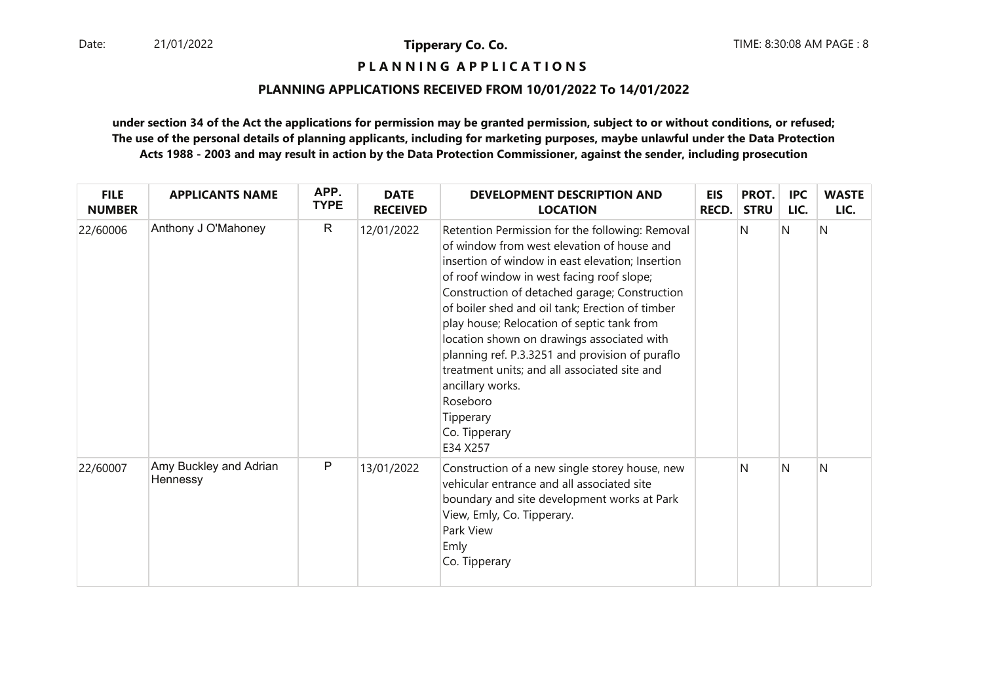**P L A N N I N G A P P L I C A T I O N S** 

#### **PLANNING APPLICATIONS RECEIVED FROM 10/01/2022 To 14/01/2022**

| <b>FILE</b><br><b>NUMBER</b> | <b>APPLICANTS NAME</b>             | APP.<br><b>TYPE</b> | <b>DATE</b><br><b>RECEIVED</b> | <b>DEVELOPMENT DESCRIPTION AND</b><br><b>LOCATION</b>                                                                                                                                                                                                                                                                                                                                                                                                                                                                                                                       | <b>EIS</b><br>RECD. | PROT.<br><b>STRU</b> | <b>IPC</b><br>LIC. | <b>WASTE</b><br>LIC. |
|------------------------------|------------------------------------|---------------------|--------------------------------|-----------------------------------------------------------------------------------------------------------------------------------------------------------------------------------------------------------------------------------------------------------------------------------------------------------------------------------------------------------------------------------------------------------------------------------------------------------------------------------------------------------------------------------------------------------------------------|---------------------|----------------------|--------------------|----------------------|
| 22/60006                     | Anthony J O'Mahoney                | $\mathsf{R}$        | 12/01/2022                     | Retention Permission for the following: Removal<br>of window from west elevation of house and<br>insertion of window in east elevation; Insertion<br>of roof window in west facing roof slope;<br>Construction of detached garage; Construction<br>of boiler shed and oil tank; Erection of timber<br>play house; Relocation of septic tank from<br>location shown on drawings associated with<br>planning ref. P.3.3251 and provision of puraflo<br>treatment units; and all associated site and<br>ancillary works.<br>Roseboro<br>Tipperary<br>Co. Tipperary<br>E34 X257 |                     | N                    | N                  | N                    |
| 22/60007                     | Amy Buckley and Adrian<br>Hennessy | $\mathsf{P}$        | 13/01/2022                     | Construction of a new single storey house, new<br>vehicular entrance and all associated site<br>boundary and site development works at Park<br>View, Emly, Co. Tipperary.<br>Park View<br>Emly<br>Co. Tipperary                                                                                                                                                                                                                                                                                                                                                             |                     | N                    | N                  | N                    |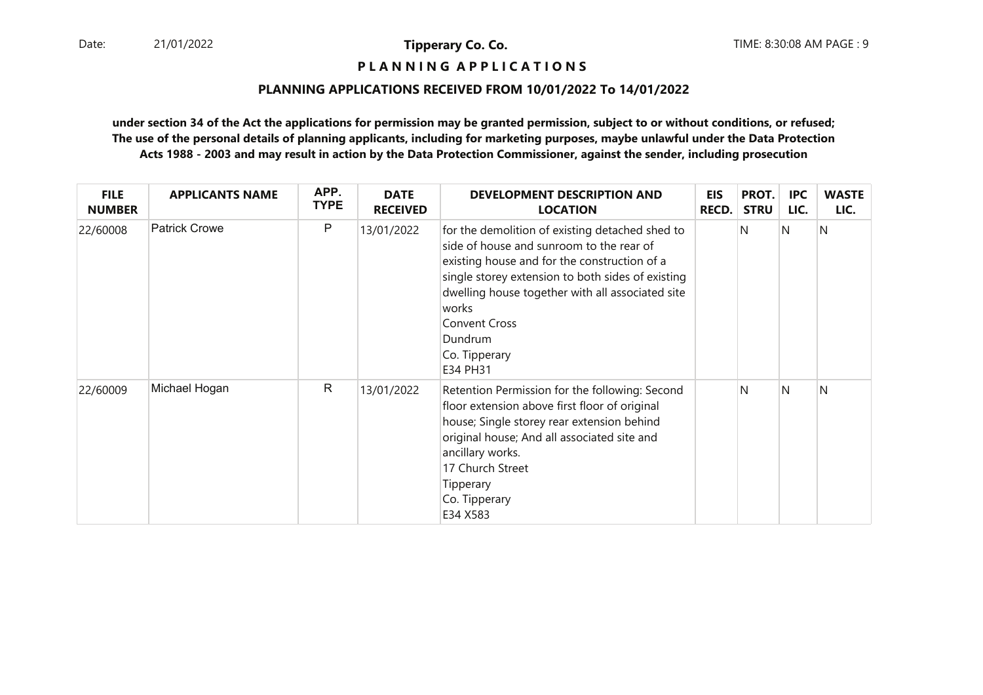**P L A N N I N G A P P L I C A T I O N S** 

#### **PLANNING APPLICATIONS RECEIVED FROM 10/01/2022 To 14/01/2022**

| <b>FILE</b><br><b>NUMBER</b> | <b>APPLICANTS NAME</b> | APP.<br><b>TYPE</b> | <b>DATE</b><br><b>RECEIVED</b> | <b>DEVELOPMENT DESCRIPTION AND</b><br><b>LOCATION</b>                                                                                                                                                                                                                                                                         | <b>EIS</b><br><b>RECD.</b> | PROT.<br><b>STRU</b> | <b>IPC</b><br>LIC. | <b>WASTE</b><br>LIC. |
|------------------------------|------------------------|---------------------|--------------------------------|-------------------------------------------------------------------------------------------------------------------------------------------------------------------------------------------------------------------------------------------------------------------------------------------------------------------------------|----------------------------|----------------------|--------------------|----------------------|
| 22/60008                     | <b>Patrick Crowe</b>   | P                   | 13/01/2022                     | for the demolition of existing detached shed to<br>side of house and sunroom to the rear of<br>existing house and for the construction of a<br>single storey extension to both sides of existing<br>dwelling house together with all associated site<br>works<br><b>Convent Cross</b><br>Dundrum<br>Co. Tipperary<br>E34 PH31 |                            | N                    | N                  | N                    |
| 22/60009                     | Michael Hogan          | $\mathsf{R}$        | 13/01/2022                     | Retention Permission for the following: Second<br>floor extension above first floor of original<br>house; Single storey rear extension behind<br>original house; And all associated site and<br>ancillary works.<br>17 Church Street<br><b>Tipperary</b><br>Co. Tipperary<br>E34 X583                                         |                            | N                    | N                  | N                    |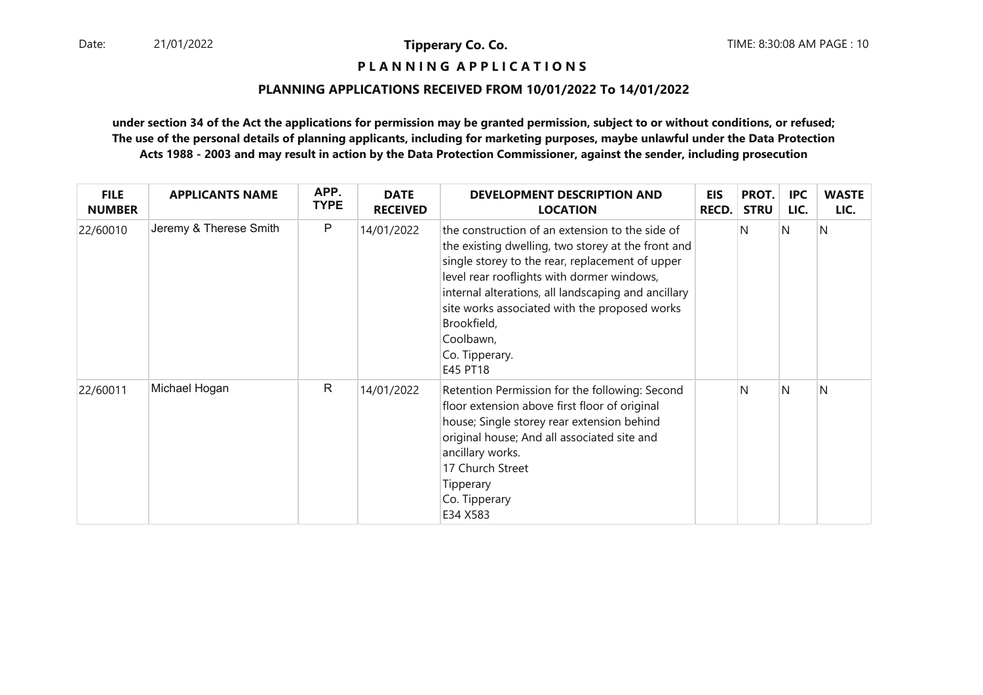**P L A N N I N G A P P L I C A T I O N S** 

#### **PLANNING APPLICATIONS RECEIVED FROM 10/01/2022 To 14/01/2022**

| <b>FILE</b><br><b>NUMBER</b> | <b>APPLICANTS NAME</b> | APP.<br><b>TYPE</b> | <b>DATE</b><br><b>RECEIVED</b> | DEVELOPMENT DESCRIPTION AND<br><b>LOCATION</b>                                                                                                                                                                                                                                                                                                                           | <b>EIS</b><br><b>RECD.</b> | PROT.<br><b>STRU</b> | <b>IPC</b><br>LIC. | <b>WASTE</b><br>LIC. |
|------------------------------|------------------------|---------------------|--------------------------------|--------------------------------------------------------------------------------------------------------------------------------------------------------------------------------------------------------------------------------------------------------------------------------------------------------------------------------------------------------------------------|----------------------------|----------------------|--------------------|----------------------|
| 22/60010                     | Jeremy & Therese Smith | P                   | 14/01/2022                     | the construction of an extension to the side of<br>the existing dwelling, two storey at the front and<br>single storey to the rear, replacement of upper<br>level rear rooflights with dormer windows,<br>internal alterations, all landscaping and ancillary<br>site works associated with the proposed works<br>Brookfield,<br>Coolbawn,<br>Co. Tipperary.<br>E45 PT18 |                            | N                    | N                  | N                    |
| 22/60011                     | Michael Hogan          | $\mathsf{R}$        | 14/01/2022                     | Retention Permission for the following: Second<br>floor extension above first floor of original<br>house; Single storey rear extension behind<br>original house; And all associated site and<br>ancillary works.<br>17 Church Street<br>Tipperary<br>Co. Tipperary<br>E34 X583                                                                                           |                            | N                    | N                  | N                    |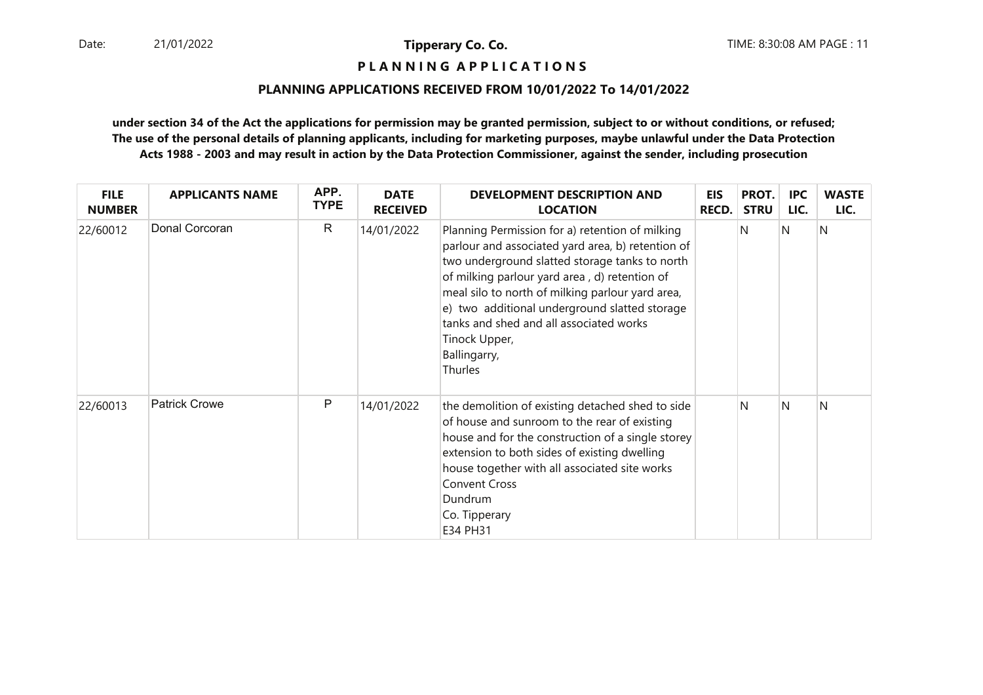**P L A N N I N G A P P L I C A T I O N S** 

#### **PLANNING APPLICATIONS RECEIVED FROM 10/01/2022 To 14/01/2022**

| <b>FILE</b><br><b>NUMBER</b> | <b>APPLICANTS NAME</b> | APP.<br><b>TYPE</b> | <b>DATE</b><br><b>RECEIVED</b> | <b>DEVELOPMENT DESCRIPTION AND</b><br><b>LOCATION</b>                                                                                                                                                                                                                                                                                                                                               | <b>EIS</b><br><b>RECD.</b> | PROT.<br><b>STRU</b> | <b>IPC</b><br>LIC. | <b>WASTE</b><br>LIC. |
|------------------------------|------------------------|---------------------|--------------------------------|-----------------------------------------------------------------------------------------------------------------------------------------------------------------------------------------------------------------------------------------------------------------------------------------------------------------------------------------------------------------------------------------------------|----------------------------|----------------------|--------------------|----------------------|
| 22/60012                     | Donal Corcoran         | $\mathsf{R}$        | 14/01/2022                     | Planning Permission for a) retention of milking<br>parlour and associated yard area, b) retention of<br>two underground slatted storage tanks to north<br>of milking parlour yard area, d) retention of<br>meal silo to north of milking parlour yard area,<br>e) two additional underground slatted storage<br>tanks and shed and all associated works<br>Tinock Upper,<br>Ballingarry,<br>Thurles |                            | N                    | N                  | N                    |
| 22/60013                     | <b>Patrick Crowe</b>   | P                   | 14/01/2022                     | the demolition of existing detached shed to side<br>of house and sunroom to the rear of existing<br>house and for the construction of a single storey<br>extension to both sides of existing dwelling<br>house together with all associated site works<br><b>Convent Cross</b><br>Dundrum<br>Co. Tipperary<br>E34 PH31                                                                              |                            | N                    | N                  | Ν                    |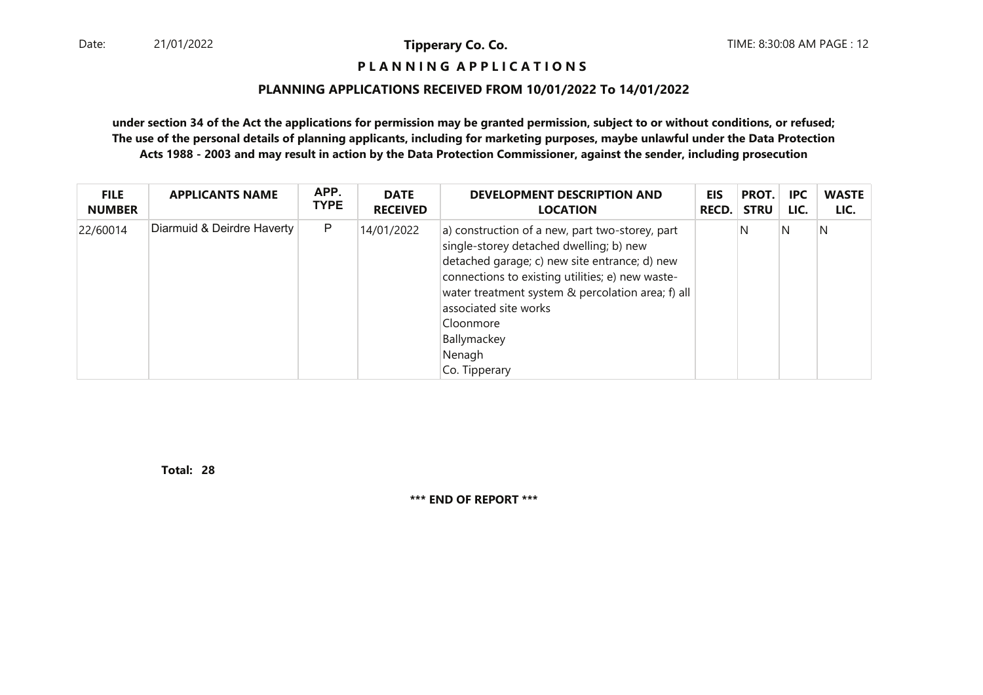#### **P L A N N I N G A P P L I C A T I O N S**

#### **PLANNING APPLICATIONS RECEIVED FROM 10/01/2022 To 14/01/2022**

**under section 34 of the Act the applications for permission may be granted permission, subject to or without conditions, or refused; The use of the personal details of planning applicants, including for marketing purposes, maybe unlawful under the Data ProtectionActs 1988 - 2003 and may result in action by the Data Protection Commissioner, against the sender, including prosecution**

| <b>FILE</b>   | <b>APPLICANTS NAME</b>     | APP.        | <b>DATE</b>     | DEVELOPMENT DESCRIPTION AND                                                                                                                                                                                                                                                                                                          | <b>EIS</b> | PROT.       | <b>IPC</b> | <b>WASTE</b> |
|---------------|----------------------------|-------------|-----------------|--------------------------------------------------------------------------------------------------------------------------------------------------------------------------------------------------------------------------------------------------------------------------------------------------------------------------------------|------------|-------------|------------|--------------|
| <b>NUMBER</b> |                            | <b>TYPE</b> | <b>RECEIVED</b> | <b>LOCATION</b>                                                                                                                                                                                                                                                                                                                      | RECD.      | <b>STRU</b> | LIC.       | LIC.         |
| 22/60014      | Diarmuid & Deirdre Haverty | P           | 14/01/2022      | a) construction of a new, part two-storey, part<br>single-storey detached dwelling; b) new<br>detached garage; c) new site entrance; d) new<br>connections to existing utilities; e) new waste-<br>water treatment system & percolation area; f) all<br>associated site works<br>Cloonmore<br>Ballymackey<br>Nenagh<br>Co. Tipperary |            | N           | N          | N            |

**28Total:**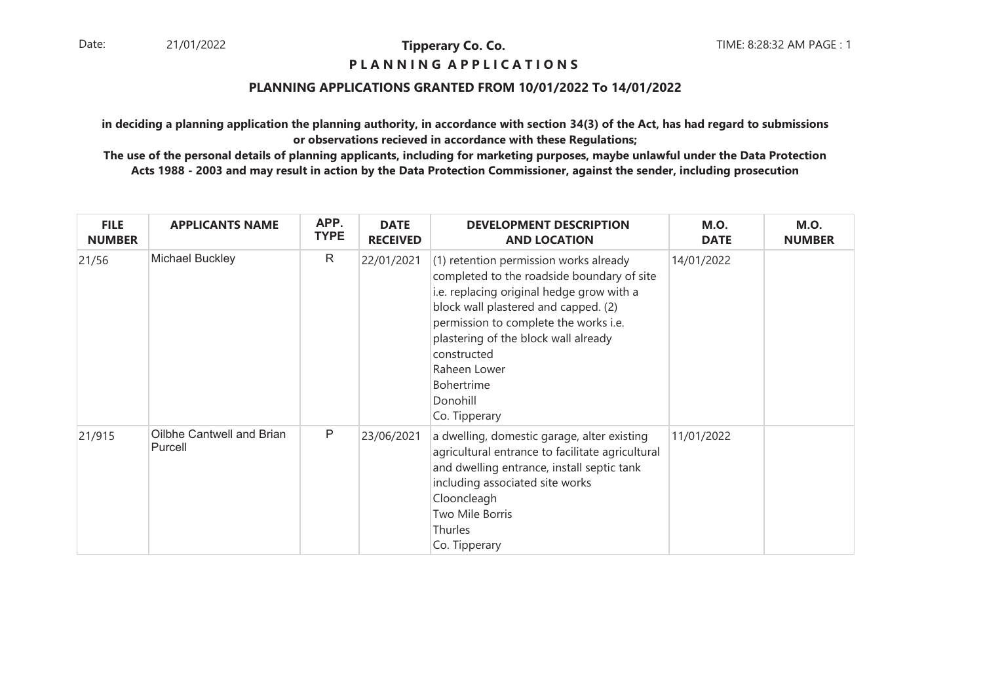#### **P L A N N I N G A P P L I C A T I O N S**

#### **PLANNING APPLICATIONS GRANTED FROM 10/01/2022 To 14/01/2022**

**in deciding a planning application the planning authority, in accordance with section 34(3) of the Act, has had regard to submissionsor observations recieved in accordance with these Regulations;**

| <b>FILE</b><br><b>NUMBER</b> | <b>APPLICANTS NAME</b>               | APP.<br><b>TYPE</b> | <b>DATE</b><br><b>RECEIVED</b> | <b>DEVELOPMENT DESCRIPTION</b><br><b>AND LOCATION</b>                                                                                                                                                                                                                                                                                                     | <b>M.O.</b><br><b>DATE</b> | <b>M.O.</b><br><b>NUMBER</b> |
|------------------------------|--------------------------------------|---------------------|--------------------------------|-----------------------------------------------------------------------------------------------------------------------------------------------------------------------------------------------------------------------------------------------------------------------------------------------------------------------------------------------------------|----------------------------|------------------------------|
| 21/56                        | Michael Buckley                      | R                   | 22/01/2021                     | (1) retention permission works already<br>14/01/2022<br>completed to the roadside boundary of site<br>i.e. replacing original hedge grow with a<br>block wall plastered and capped. (2)<br>permission to complete the works i.e.<br>plastering of the block wall already<br>constructed<br>Raheen Lower<br><b>Bohertrime</b><br>Donohill<br>Co. Tipperary |                            |                              |
| 21/915                       | Oilbhe Cantwell and Brian<br>Purcell | $\mathsf{P}$        | 23/06/2021                     | a dwelling, domestic garage, alter existing<br>agricultural entrance to facilitate agricultural<br>and dwelling entrance, install septic tank<br>including associated site works<br>Clooncleagh<br>Two Mile Borris<br>Thurles<br>Co. Tipperary                                                                                                            | 11/01/2022                 |                              |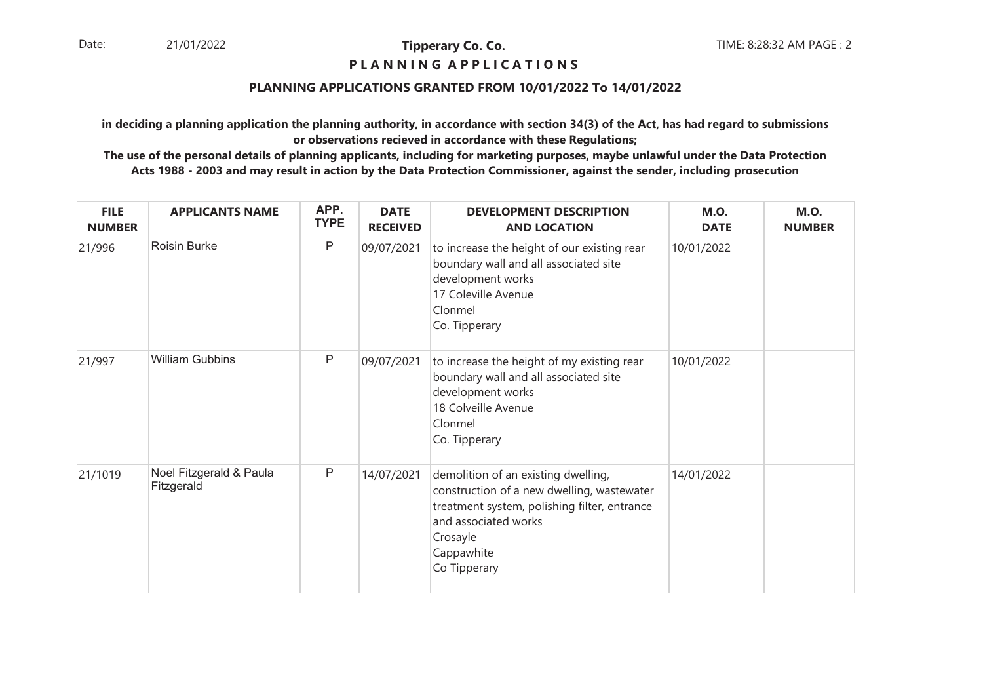#### **P L A N N I N G A P P L I C A T I O N S**

#### **PLANNING APPLICATIONS GRANTED FROM 10/01/2022 To 14/01/2022**

**in deciding a planning application the planning authority, in accordance with section 34(3) of the Act, has had regard to submissionsor observations recieved in accordance with these Regulations;**

| <b>FILE</b><br><b>NUMBER</b> | <b>APPLICANTS NAME</b>                | APP.<br><b>TYPE</b> | <b>DATE</b><br><b>RECEIVED</b> | <b>DEVELOPMENT DESCRIPTION</b><br><b>AND LOCATION</b>                                                                                                                                               | <b>M.O.</b><br><b>DATE</b> | <b>M.O.</b><br><b>NUMBER</b> |
|------------------------------|---------------------------------------|---------------------|--------------------------------|-----------------------------------------------------------------------------------------------------------------------------------------------------------------------------------------------------|----------------------------|------------------------------|
| 21/996                       | <b>Roisin Burke</b>                   | $\mathsf{P}$        | 09/07/2021                     | to increase the height of our existing rear<br>boundary wall and all associated site<br>development works<br>17 Coleville Avenue<br>Clonmel<br>Co. Tipperary                                        | 10/01/2022                 |                              |
| 21/997                       | <b>William Gubbins</b>                | $\mathsf{P}$        | 09/07/2021                     | to increase the height of my existing rear<br>boundary wall and all associated site<br>development works<br>18 Colveille Avenue<br>Clonmel<br>Co. Tipperary                                         | 10/01/2022                 |                              |
| 21/1019                      | Noel Fitzgerald & Paula<br>Fitzgerald | $\mathsf{P}$        | 14/07/2021                     | demolition of an existing dwelling,<br>construction of a new dwelling, wastewater<br>treatment system, polishing filter, entrance<br>and associated works<br>Crosayle<br>Cappawhite<br>Co Tipperary | 14/01/2022                 |                              |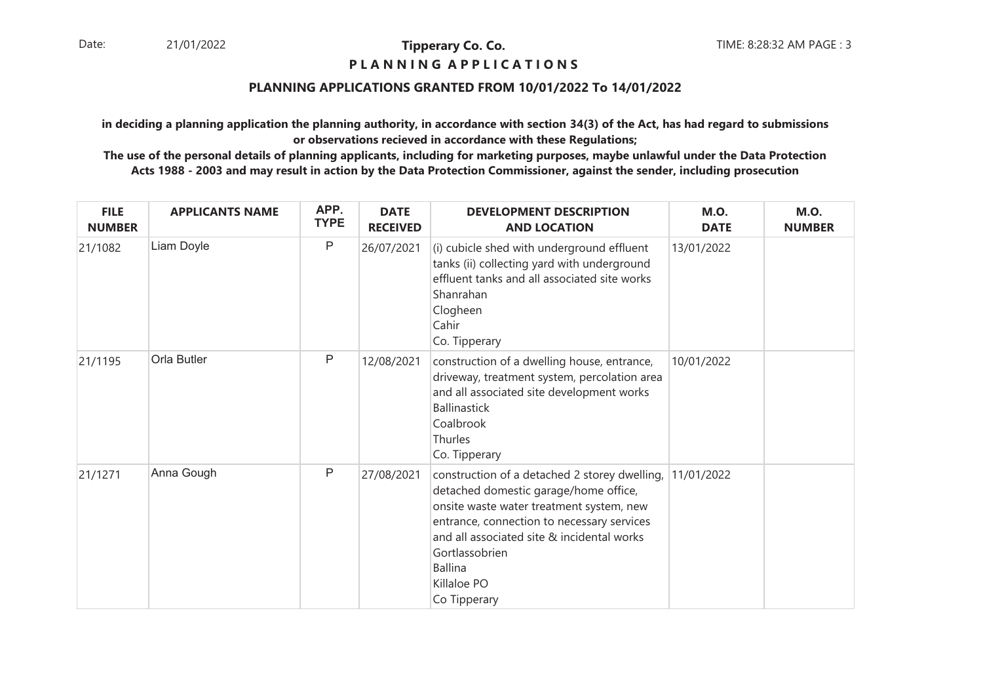#### **P L A N N I N G A P P L I C A T I O N S**

#### **PLANNING APPLICATIONS GRANTED FROM 10/01/2022 To 14/01/2022**

**in deciding a planning application the planning authority, in accordance with section 34(3) of the Act, has had regard to submissionsor observations recieved in accordance with these Regulations;**

| <b>FILE</b><br><b>NUMBER</b> | <b>APPLICANTS NAME</b> | APP.<br><b>TYPE</b> | <b>DATE</b><br><b>RECEIVED</b> | <b>DEVELOPMENT DESCRIPTION</b><br><b>AND LOCATION</b>                                                                                                                                                                                                                                             | <b>M.O.</b><br><b>DATE</b> | <b>M.O.</b><br><b>NUMBER</b> |
|------------------------------|------------------------|---------------------|--------------------------------|---------------------------------------------------------------------------------------------------------------------------------------------------------------------------------------------------------------------------------------------------------------------------------------------------|----------------------------|------------------------------|
| 21/1082                      | Liam Doyle             | $\sf P$             | 26/07/2021                     | (i) cubicle shed with underground effluent<br>tanks (ii) collecting yard with underground<br>effluent tanks and all associated site works<br>Shanrahan<br>Clogheen<br>Cahir<br>Co. Tipperary                                                                                                      | 13/01/2022                 |                              |
| 21/1195                      | Orla Butler            | $\mathsf{P}$        | 12/08/2021                     | construction of a dwelling house, entrance,<br>driveway, treatment system, percolation area<br>and all associated site development works<br><b>Ballinastick</b><br>Coalbrook<br>Thurles<br>Co. Tipperary                                                                                          | 10/01/2022                 |                              |
| 21/1271                      | Anna Gough             | $\mathsf{P}$        | 27/08/2021                     | construction of a detached 2 storey dwelling,<br>detached domestic garage/home office,<br>onsite waste water treatment system, new<br>entrance, connection to necessary services<br>and all associated site & incidental works<br>Gortlassobrien<br><b>Ballina</b><br>Killaloe PO<br>Co Tipperary | 11/01/2022                 |                              |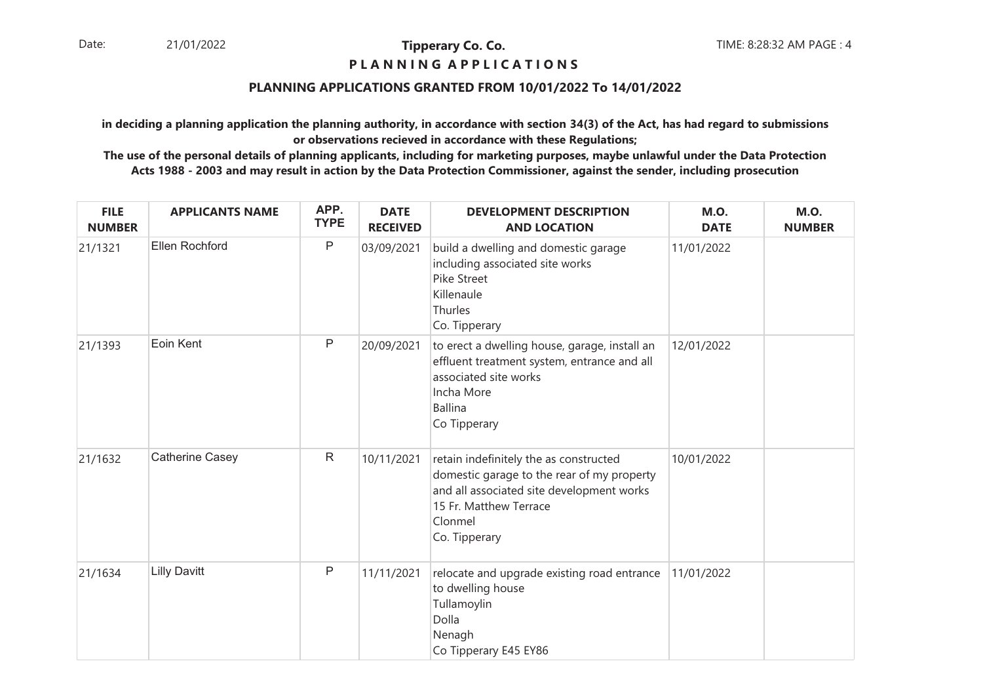## **P L A N N I N G A P P L I C A T I O N S**

#### **PLANNING APPLICATIONS GRANTED FROM 10/01/2022 To 14/01/2022**

**in deciding a planning application the planning authority, in accordance with section 34(3) of the Act, has had regard to submissionsor observations recieved in accordance with these Regulations;**

| <b>FILE</b><br><b>NUMBER</b> | <b>APPLICANTS NAME</b> | APP.<br><b>TYPE</b> | <b>DATE</b><br><b>RECEIVED</b> | <b>DEVELOPMENT DESCRIPTION</b><br><b>AND LOCATION</b>                                                                                                                                   | <b>M.O.</b><br><b>DATE</b> | <b>M.O.</b><br><b>NUMBER</b> |
|------------------------------|------------------------|---------------------|--------------------------------|-----------------------------------------------------------------------------------------------------------------------------------------------------------------------------------------|----------------------------|------------------------------|
| 21/1321                      | Ellen Rochford         | $\mathsf{P}$        | 03/09/2021                     | build a dwelling and domestic garage<br>including associated site works<br>Pike Street<br>Killenaule<br>Thurles<br>Co. Tipperary                                                        | 11/01/2022                 |                              |
| 21/1393                      | Eoin Kent              | $\mathsf{P}$        | 20/09/2021                     | to erect a dwelling house, garage, install an<br>effluent treatment system, entrance and all<br>associated site works<br>Incha More<br><b>Ballina</b><br>Co Tipperary                   | 12/01/2022                 |                              |
| 21/1632                      | Catherine Casey        | $\mathsf{R}$        | 10/11/2021                     | retain indefinitely the as constructed<br>domestic garage to the rear of my property<br>and all associated site development works<br>15 Fr. Matthew Terrace<br>Clonmel<br>Co. Tipperary | 10/01/2022                 |                              |
| 21/1634                      | <b>Lilly Davitt</b>    | $\mathsf{P}$        | 11/11/2021                     | relocate and upgrade existing road entrance<br>to dwelling house<br>Tullamoylin<br>Dolla<br>Nenagh<br>Co Tipperary E45 EY86                                                             | 11/01/2022                 |                              |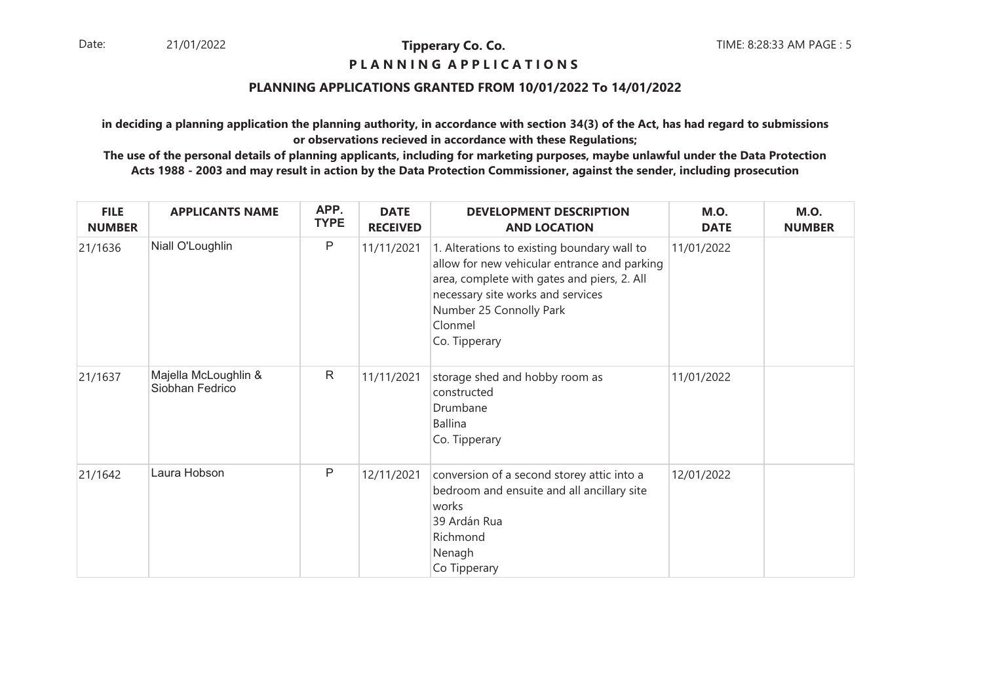#### **P L A N N I N G A P P L I C A T I O N S**

#### **PLANNING APPLICATIONS GRANTED FROM 10/01/2022 To 14/01/2022**

**in deciding a planning application the planning authority, in accordance with section 34(3) of the Act, has had regard to submissionsor observations recieved in accordance with these Regulations;**

| <b>FILE</b><br><b>NUMBER</b> | <b>APPLICANTS NAME</b>                  | APP.<br><b>TYPE</b> | <b>DATE</b><br><b>RECEIVED</b> | <b>DEVELOPMENT DESCRIPTION</b><br><b>AND LOCATION</b>                                                                                                                                                                                  | <b>M.O.</b><br><b>DATE</b> | <b>M.O.</b><br><b>NUMBER</b> |
|------------------------------|-----------------------------------------|---------------------|--------------------------------|----------------------------------------------------------------------------------------------------------------------------------------------------------------------------------------------------------------------------------------|----------------------------|------------------------------|
| 21/1636                      | Niall O'Loughlin                        | $\mathsf{P}$        | 11/11/2021                     | 1. Alterations to existing boundary wall to<br>allow for new vehicular entrance and parking<br>area, complete with gates and piers, 2. All<br>necessary site works and services<br>Number 25 Connolly Park<br>Clonmel<br>Co. Tipperary | 11/01/2022                 |                              |
| 21/1637                      | Majella McLoughlin &<br>Siobhan Fedrico | $\mathsf{R}$        | 11/11/2021                     | storage shed and hobby room as<br>constructed<br>Drumbane<br><b>Ballina</b><br>Co. Tipperary                                                                                                                                           | 11/01/2022                 |                              |
| 21/1642                      | Laura Hobson                            | $\mathsf{P}$        | 12/11/2021                     | conversion of a second storey attic into a<br>bedroom and ensuite and all ancillary site<br>works<br>39 Ardán Rua<br>Richmond<br>Nenagh<br>Co Tipperary                                                                                | 12/01/2022                 |                              |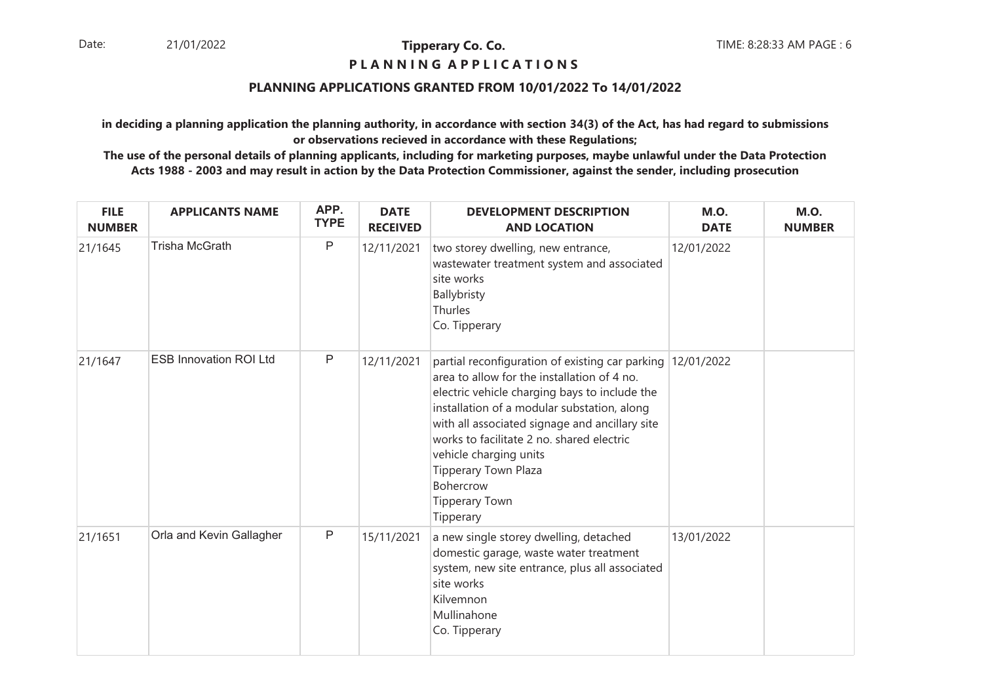## **P L A N N I N G A P P L I C A T I O N S**

#### **PLANNING APPLICATIONS GRANTED FROM 10/01/2022 To 14/01/2022**

**in deciding a planning application the planning authority, in accordance with section 34(3) of the Act, has had regard to submissionsor observations recieved in accordance with these Regulations;**

| <b>FILE</b><br><b>NUMBER</b> | <b>APPLICANTS NAME</b>        | APP.<br><b>TYPE</b> | <b>DATE</b><br><b>RECEIVED</b> | <b>DEVELOPMENT DESCRIPTION</b><br><b>AND LOCATION</b>                                                                                                                                                                                                                                                                                                                                                                | <b>M.O.</b><br><b>DATE</b> | <b>M.O.</b><br><b>NUMBER</b> |
|------------------------------|-------------------------------|---------------------|--------------------------------|----------------------------------------------------------------------------------------------------------------------------------------------------------------------------------------------------------------------------------------------------------------------------------------------------------------------------------------------------------------------------------------------------------------------|----------------------------|------------------------------|
| 21/1645                      | <b>Trisha McGrath</b>         | $\mathsf P$         | 12/11/2021                     | two storey dwelling, new entrance,<br>wastewater treatment system and associated<br>site works<br>Ballybristy<br>Thurles<br>Co. Tipperary                                                                                                                                                                                                                                                                            | 12/01/2022                 |                              |
| 21/1647                      | <b>ESB Innovation ROI Ltd</b> | $\mathsf{P}$        | 12/11/2021                     | partial reconfiguration of existing car parking 12/01/2022<br>area to allow for the installation of 4 no.<br>electric vehicle charging bays to include the<br>installation of a modular substation, along<br>with all associated signage and ancillary site<br>works to facilitate 2 no. shared electric<br>vehicle charging units<br><b>Tipperary Town Plaza</b><br>Bohercrow<br><b>Tipperary Town</b><br>Tipperary |                            |                              |
| 21/1651                      | Orla and Kevin Gallagher      | $\mathsf{P}$        | 15/11/2021                     | a new single storey dwelling, detached<br>domestic garage, waste water treatment<br>system, new site entrance, plus all associated<br>site works<br>Kilvemnon<br>Mullinahone<br>Co. Tipperary                                                                                                                                                                                                                        | 13/01/2022                 |                              |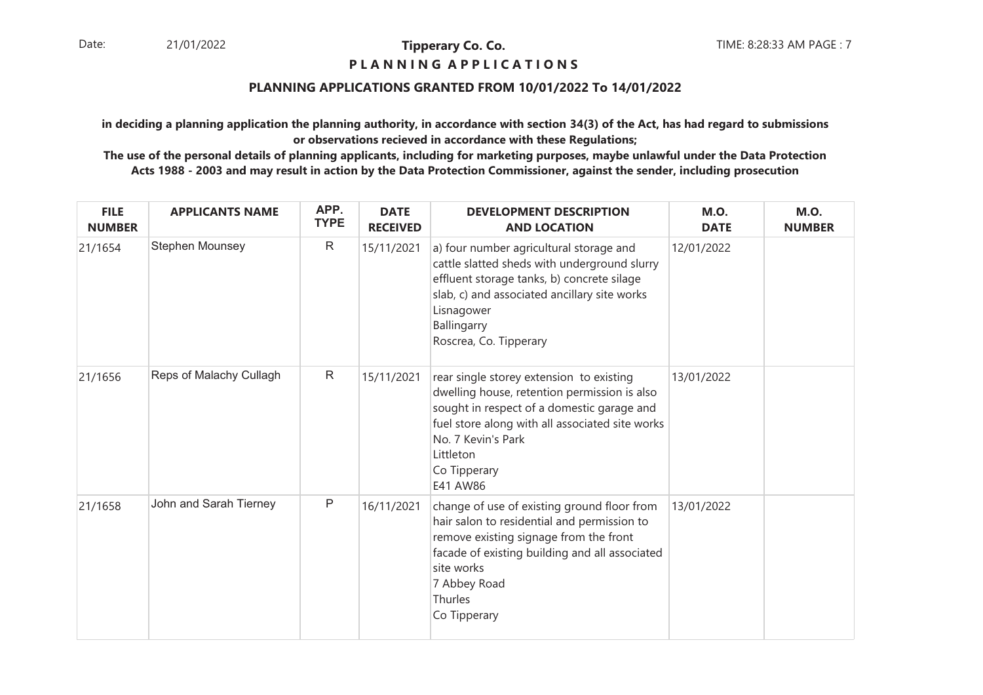#### **P L A N N I N G A P P L I C A T I O N S**

#### **PLANNING APPLICATIONS GRANTED FROM 10/01/2022 To 14/01/2022**

**in deciding a planning application the planning authority, in accordance with section 34(3) of the Act, has had regard to submissionsor observations recieved in accordance with these Regulations;**

| <b>FILE</b><br><b>NUMBER</b> | <b>APPLICANTS NAME</b>  | APP.<br><b>TYPE</b> | <b>DATE</b><br><b>RECEIVED</b> | <b>DEVELOPMENT DESCRIPTION</b><br><b>AND LOCATION</b>                                                                                                                                                                                                    | <b>M.O.</b><br><b>DATE</b> | <b>M.O.</b><br><b>NUMBER</b> |
|------------------------------|-------------------------|---------------------|--------------------------------|----------------------------------------------------------------------------------------------------------------------------------------------------------------------------------------------------------------------------------------------------------|----------------------------|------------------------------|
| 21/1654                      | Stephen Mounsey         | $\mathsf{R}$        | 15/11/2021                     | a) four number agricultural storage and<br>cattle slatted sheds with underground slurry<br>effluent storage tanks, b) concrete silage<br>slab, c) and associated ancillary site works<br>Lisnagower<br>Ballingarry<br>Roscrea, Co. Tipperary             | 12/01/2022                 |                              |
| 21/1656                      | Reps of Malachy Cullagh | $\mathsf{R}$        | 15/11/2021                     | rear single storey extension to existing<br>dwelling house, retention permission is also<br>sought in respect of a domestic garage and<br>fuel store along with all associated site works<br>No. 7 Kevin's Park<br>Littleton<br>Co Tipperary<br>E41 AW86 | 13/01/2022                 |                              |
| 21/1658                      | John and Sarah Tierney  | $\mathsf{P}$        | 16/11/2021                     | change of use of existing ground floor from<br>hair salon to residential and permission to<br>remove existing signage from the front<br>facade of existing building and all associated<br>site works<br>7 Abbey Road<br><b>Thurles</b><br>Co Tipperary   | 13/01/2022                 |                              |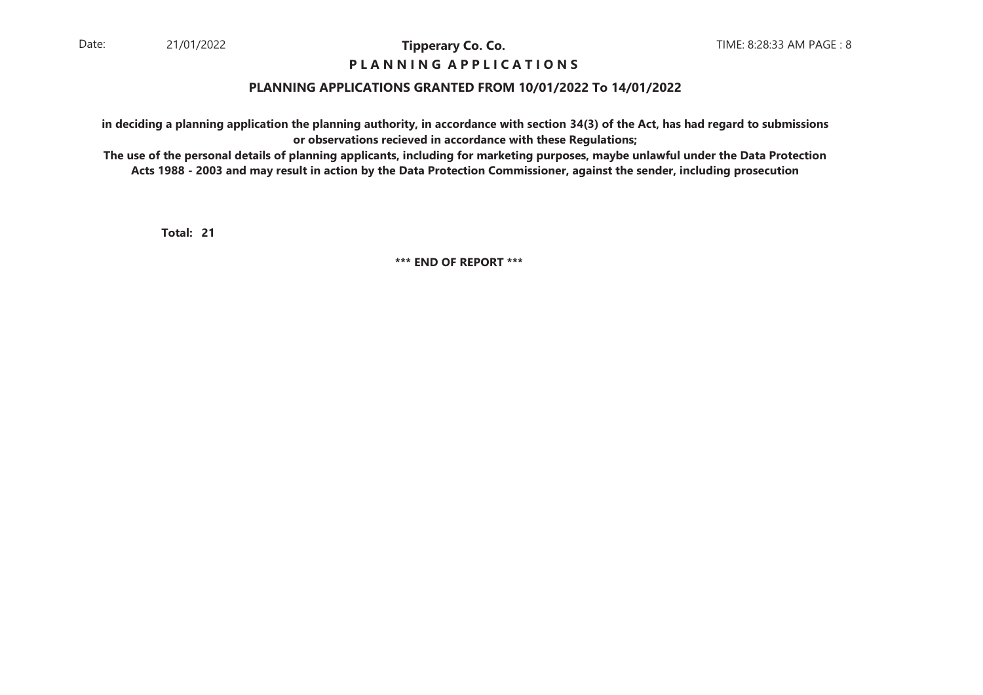## **P L A N N I N G A P P L I C A T I O N S**

#### **PLANNING APPLICATIONS GRANTED FROM 10/01/2022 To 14/01/2022**

**in deciding a planning application the planning authority, in accordance with section 34(3) of the Act, has had regard to submissionsor observations recieved in accordance with these Regulations;**

 **The use of the personal details of planning applicants, including for marketing purposes, maybe unlawful under the Data ProtectionActs 1988 - 2003 and may result in action by the Data Protection Commissioner, against the sender, including prosecution**

**21Total:**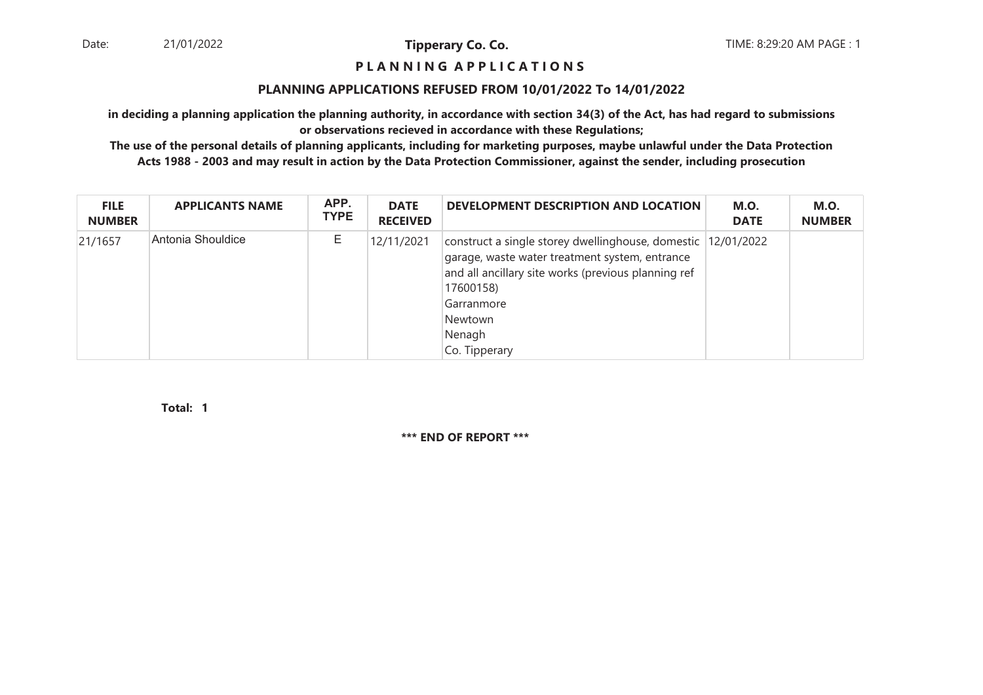#### **P L A N N I N G A P P L I C A T I O N S**

#### **PLANNING APPLICATIONS REFUSED FROM 10/01/2022 To 14/01/2022**

**in deciding a planning application the planning authority, in accordance with section 34(3) of the Act, has had regard to submissionsor observations recieved in accordance with these Regulations;**

 **The use of the personal details of planning applicants, including for marketing purposes, maybe unlawful under the Data ProtectionActs 1988 - 2003 and may result in action by the Data Protection Commissioner, against the sender, including prosecution**

| <b>FILE</b><br><b>NUMBER</b> | <b>APPLICANTS NAME</b> | APP.<br><b>TYPE</b> | <b>DATE</b><br><b>RECEIVED</b> | DEVELOPMENT DESCRIPTION AND LOCATION                                                                                                                                                                                                   | <b>M.O.</b><br><b>DATE</b> | <b>M.O.</b><br><b>NUMBER</b> |
|------------------------------|------------------------|---------------------|--------------------------------|----------------------------------------------------------------------------------------------------------------------------------------------------------------------------------------------------------------------------------------|----------------------------|------------------------------|
| 21/1657                      | Antonia Shouldice      | Ε                   | 12/11/2021                     | construct a single storey dwellinghouse, domestic 12/01/2022<br>garage, waste water treatment system, entrance<br>and all ancillary site works (previous planning ref<br>17600158)<br>Garranmore<br>Newtown<br>Nenagh<br>Co. Tipperary |                            |                              |

**1Total:**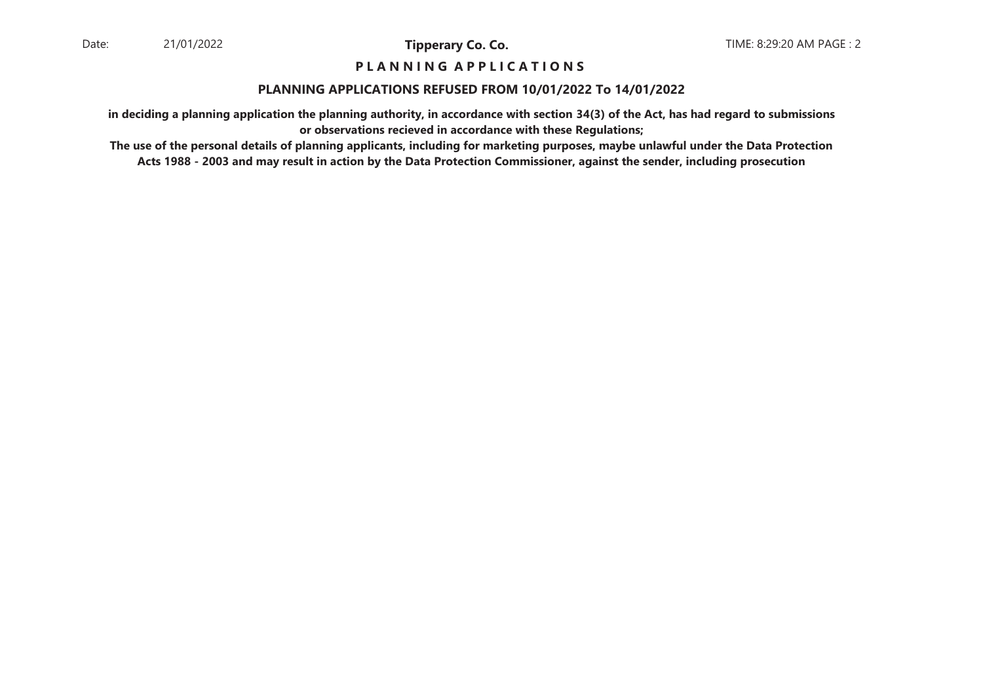#### **P L A N N I N G A P P L I C A T I O N S**

#### **PLANNING APPLICATIONS REFUSED FROM 10/01/2022 To 14/01/2022**

**in deciding a planning application the planning authority, in accordance with section 34(3) of the Act, has had regard to submissionsor observations recieved in accordance with these Regulations;**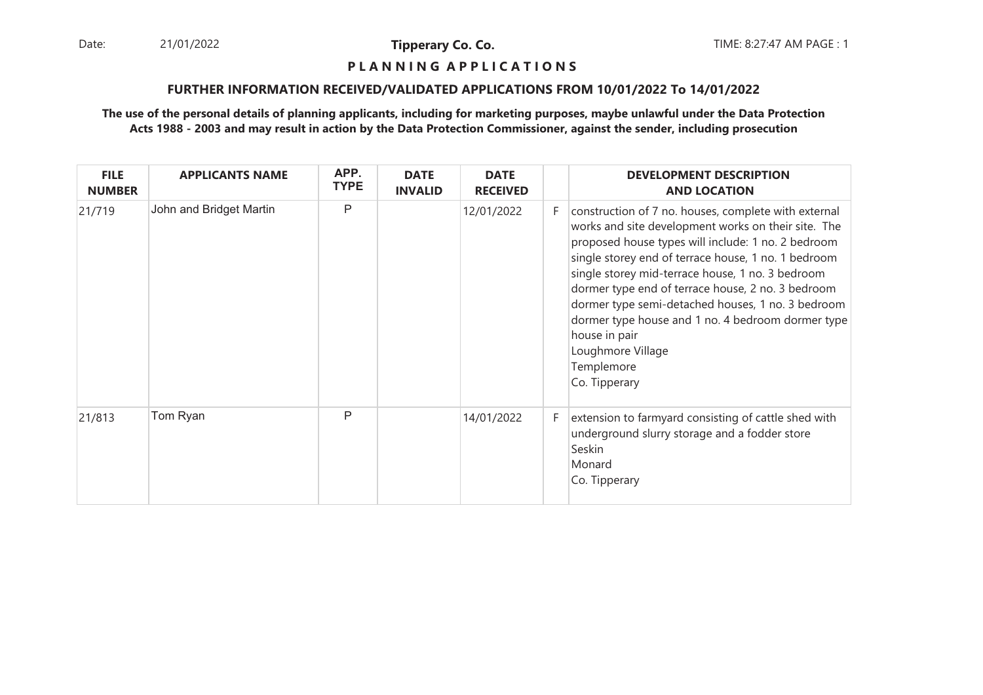Date: 21/01/2022 **Tipperary Co. Co. The Co. Co.** TIME: 8:27:47 AM PAGE : 1 21/01/2022

**Tipperary Co. Co.**

#### **P L A N N I N G A P P L I C A T I O N S**

#### **FURTHER INFORMATION RECEIVED/VALIDATED APPLICATIONS FROM 10/01/2022 To 14/01/2022**

| <b>FILE</b><br><b>NUMBER</b> | <b>APPLICANTS NAME</b>  | APP.<br><b>TYPE</b> | <b>DATE</b><br><b>INVALID</b> | <b>DATE</b><br><b>RECEIVED</b> |    | <b>DEVELOPMENT DESCRIPTION</b><br><b>AND LOCATION</b>                                                                                                                                                                                                                                                                                                                                                                                                                                                            |
|------------------------------|-------------------------|---------------------|-------------------------------|--------------------------------|----|------------------------------------------------------------------------------------------------------------------------------------------------------------------------------------------------------------------------------------------------------------------------------------------------------------------------------------------------------------------------------------------------------------------------------------------------------------------------------------------------------------------|
| 21/719                       | John and Bridget Martin | P                   |                               | 12/01/2022                     | F. | construction of 7 no. houses, complete with external<br>works and site development works on their site. The<br>proposed house types will include: 1 no. 2 bedroom<br>single storey end of terrace house, 1 no. 1 bedroom<br>single storey mid-terrace house, 1 no. 3 bedroom<br>dormer type end of terrace house, 2 no. 3 bedroom<br>dormer type semi-detached houses, 1 no. 3 bedroom<br>dormer type house and 1 no. 4 bedroom dormer type<br>house in pair<br>Loughmore Village<br>Templemore<br>Co. Tipperary |
| 21/813                       | Tom Ryan                | P                   |                               | 14/01/2022                     | F  | extension to farmyard consisting of cattle shed with<br>underground slurry storage and a fodder store<br>Seskin<br>Monard<br>Co. Tipperary                                                                                                                                                                                                                                                                                                                                                                       |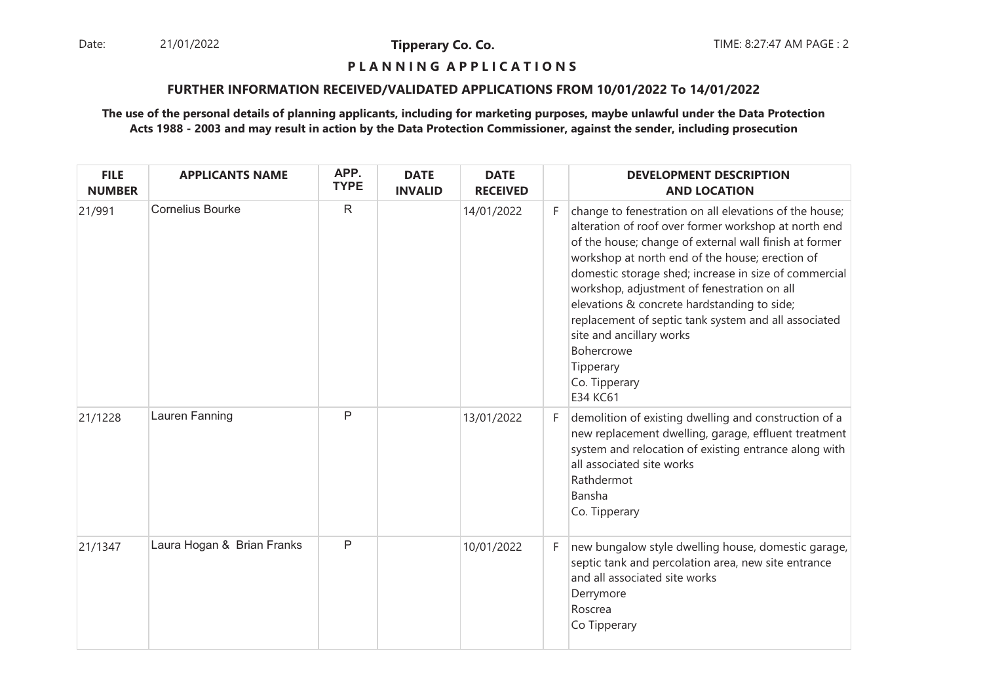Date: 21/01/2022 **Tipperary Co. Co. The Co. Co.** TIME: 8:27:47 AM PAGE : 2 21/01/2022

**Tipperary Co. Co.**

## **P L A N N I N G A P P L I C A T I O N S**

#### **FURTHER INFORMATION RECEIVED/VALIDATED APPLICATIONS FROM 10/01/2022 To 14/01/2022**

| <b>FILE</b><br><b>NUMBER</b> | <b>APPLICANTS NAME</b>     | APP.<br><b>TYPE</b> | <b>DATE</b><br><b>INVALID</b> | <b>DATE</b><br><b>RECEIVED</b> |    | <b>DEVELOPMENT DESCRIPTION</b><br><b>AND LOCATION</b>                                                                                                                                                                                                                                                                                                                                                                                                                                                                                 |
|------------------------------|----------------------------|---------------------|-------------------------------|--------------------------------|----|---------------------------------------------------------------------------------------------------------------------------------------------------------------------------------------------------------------------------------------------------------------------------------------------------------------------------------------------------------------------------------------------------------------------------------------------------------------------------------------------------------------------------------------|
| 21/991                       | <b>Cornelius Bourke</b>    | $\mathsf{R}$        |                               | 14/01/2022                     | F. | change to fenestration on all elevations of the house;<br>alteration of roof over former workshop at north end<br>of the house; change of external wall finish at former<br>workshop at north end of the house; erection of<br>domestic storage shed; increase in size of commercial<br>workshop, adjustment of fenestration on all<br>elevations & concrete hardstanding to side;<br>replacement of septic tank system and all associated<br>site and ancillary works<br>Bohercrowe<br>Tipperary<br>Co. Tipperary<br><b>E34 KC61</b> |
| 21/1228                      | Lauren Fanning             | $\mathsf{P}$        |                               | 13/01/2022                     | F. | demolition of existing dwelling and construction of a<br>new replacement dwelling, garage, effluent treatment<br>system and relocation of existing entrance along with<br>all associated site works<br>Rathdermot<br>Bansha<br>Co. Tipperary                                                                                                                                                                                                                                                                                          |
| 21/1347                      | Laura Hogan & Brian Franks | $\mathsf{P}$        |                               | 10/01/2022                     | F  | new bungalow style dwelling house, domestic garage,<br>septic tank and percolation area, new site entrance<br>and all associated site works<br>Derrymore<br>Roscrea<br>Co Tipperary                                                                                                                                                                                                                                                                                                                                                   |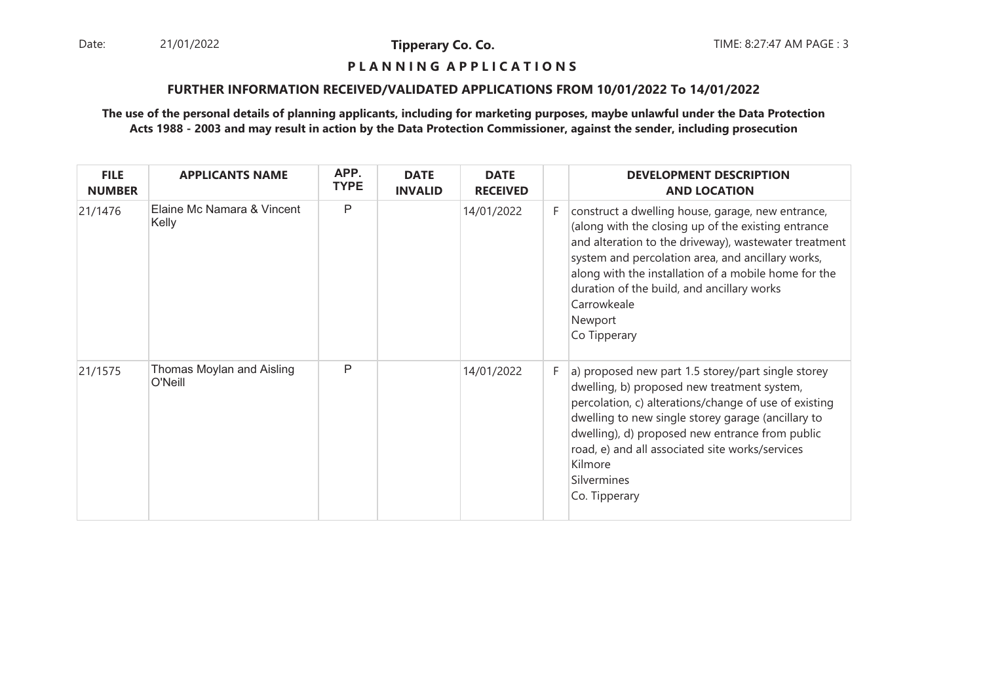Date: 21/01/2022 **Tipperary Co. Co. The Co. Co.** TIME: 8:27:47 AM PAGE : 3 21/01/2022

**Tipperary Co. Co.**

#### **P L A N N I N G A P P L I C A T I O N S**

#### **FURTHER INFORMATION RECEIVED/VALIDATED APPLICATIONS FROM 10/01/2022 To 14/01/2022**

| <b>FILE</b><br><b>NUMBER</b> | <b>APPLICANTS NAME</b>               | APP.<br><b>TYPE</b> | <b>DATE</b><br><b>INVALID</b> | <b>DATE</b><br><b>RECEIVED</b> |    | <b>DEVELOPMENT DESCRIPTION</b><br><b>AND LOCATION</b>                                                                                                                                                                                                                                                                                                                  |
|------------------------------|--------------------------------------|---------------------|-------------------------------|--------------------------------|----|------------------------------------------------------------------------------------------------------------------------------------------------------------------------------------------------------------------------------------------------------------------------------------------------------------------------------------------------------------------------|
| 21/1476                      | Elaine Mc Namara & Vincent<br>Kelly  | $\mathsf{P}$        |                               | 14/01/2022                     | F. | construct a dwelling house, garage, new entrance,<br>(along with the closing up of the existing entrance<br>and alteration to the driveway), wastewater treatment<br>system and percolation area, and ancillary works,<br>along with the installation of a mobile home for the<br>duration of the build, and ancillary works<br>Carrowkeale<br>Newport<br>Co Tipperary |
| 21/1575                      | Thomas Moylan and Aisling<br>O'Neill | P                   |                               | 14/01/2022                     | F  | a) proposed new part 1.5 storey/part single storey<br>dwelling, b) proposed new treatment system,<br>percolation, c) alterations/change of use of existing<br>dwelling to new single storey garage (ancillary to<br>dwelling), d) proposed new entrance from public<br>road, e) and all associated site works/services<br>Kilmore<br>Silvermines<br>Co. Tipperary      |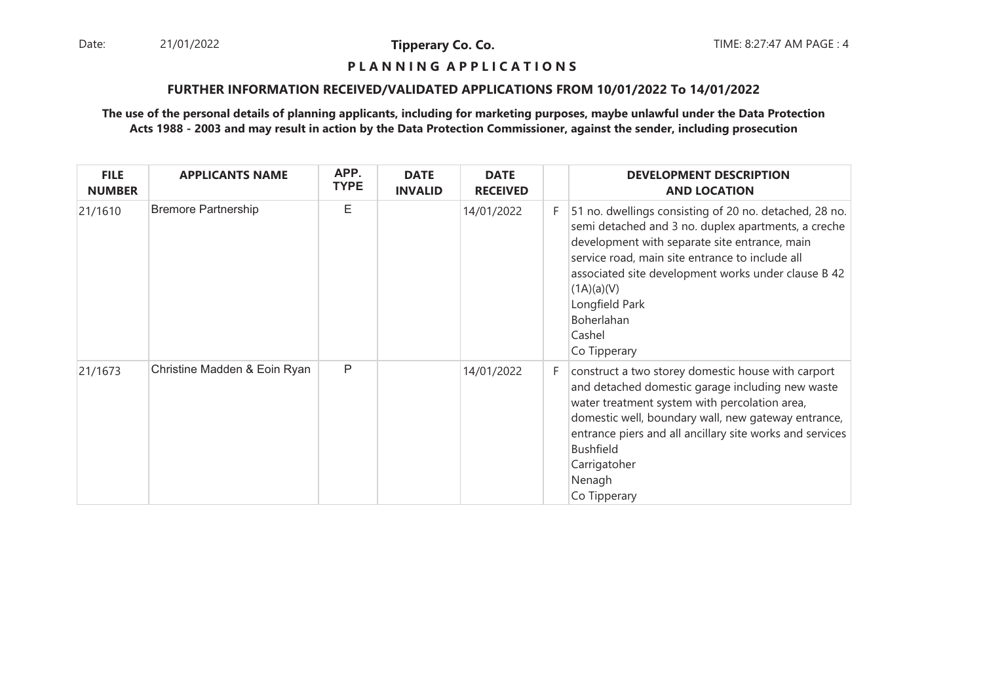Date: 21/01/2022 **Tipperary Co. Co. The Co. Co.** TIME: 8:27:47 AM PAGE : 4 21/01/2022

**Tipperary Co. Co.**

#### **P L A N N I N G A P P L I C A T I O N S**

#### **FURTHER INFORMATION RECEIVED/VALIDATED APPLICATIONS FROM 10/01/2022 To 14/01/2022**

| <b>FILE</b><br><b>NUMBER</b> | <b>APPLICANTS NAME</b>       | APP.<br><b>TYPE</b> | <b>DATE</b><br><b>INVALID</b> | <b>DATE</b><br><b>RECEIVED</b> |    | <b>DEVELOPMENT DESCRIPTION</b><br><b>AND LOCATION</b>                                                                                                                                                                                                                                                                                            |
|------------------------------|------------------------------|---------------------|-------------------------------|--------------------------------|----|--------------------------------------------------------------------------------------------------------------------------------------------------------------------------------------------------------------------------------------------------------------------------------------------------------------------------------------------------|
| 21/1610                      | <b>Bremore Partnership</b>   | E                   |                               | 14/01/2022                     | F. | 51 no. dwellings consisting of 20 no. detached, 28 no.<br>semi detached and 3 no. duplex apartments, a creche<br>development with separate site entrance, main<br>service road, main site entrance to include all<br>associated site development works under clause B 42<br>(1A)(a)(V)<br>Longfield Park<br>Boherlahan<br>Cashel<br>Co Tipperary |
| 21/1673                      | Christine Madden & Eoin Ryan | P                   |                               | 14/01/2022                     | F. | construct a two storey domestic house with carport<br>and detached domestic garage including new waste<br>water treatment system with percolation area,<br>domestic well, boundary wall, new gateway entrance,<br>entrance piers and all ancillary site works and services<br>Bushfield<br>Carrigatoher<br>Nenagh<br>Co Tipperary                |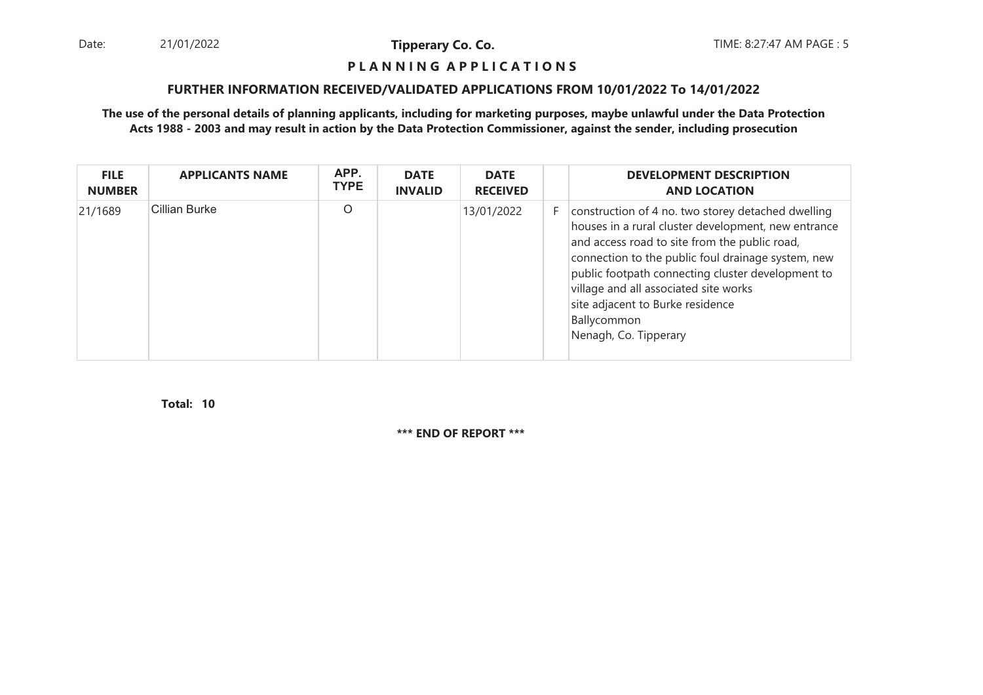Date: 21/01/2022 **Tipperary Co. Co. The Co. Co.** TIME: 8:27:47 AM PAGE : 5 21/01/2022

**Tipperary Co. Co.**

#### **P L A N N I N G A P P L I C A T I O N S**

#### **FURTHER INFORMATION RECEIVED/VALIDATED APPLICATIONS FROM 10/01/2022 To 14/01/2022**

**The use of the personal details of planning applicants, including for marketing purposes, maybe unlawful under the Data ProtectionActs 1988 - 2003 and may result in action by the Data Protection Commissioner, against the sender, including prosecution**

| <b>FILE</b><br><b>NUMBER</b> | <b>APPLICANTS NAME</b> | APP.<br><b>TYPE</b> | <b>DATE</b><br><b>INVALID</b> | <b>DATE</b><br><b>RECEIVED</b> |    | <b>DEVELOPMENT DESCRIPTION</b><br><b>AND LOCATION</b>                                                                                                                                                                                                                                                                                                                                      |
|------------------------------|------------------------|---------------------|-------------------------------|--------------------------------|----|--------------------------------------------------------------------------------------------------------------------------------------------------------------------------------------------------------------------------------------------------------------------------------------------------------------------------------------------------------------------------------------------|
| 21/1689                      | <b>Cillian Burke</b>   | $\circ$             |                               | 13/01/2022                     | F. | construction of 4 no. two storey detached dwelling<br>houses in a rural cluster development, new entrance<br>and access road to site from the public road,<br>connection to the public foul drainage system, new<br>public footpath connecting cluster development to<br>village and all associated site works<br>site adjacent to Burke residence<br>Ballycommon<br>Nenagh, Co. Tipperary |

**10Total:**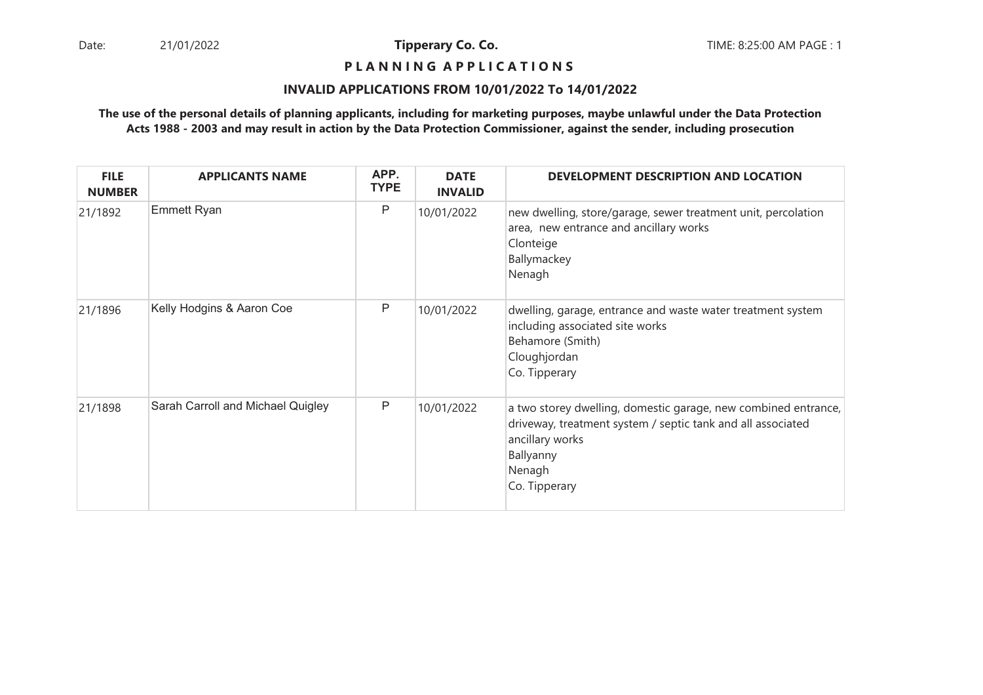## **P L A N N I N G A P P L I C A T I O N S**

#### **INVALID APPLICATIONS FROM 10/01/2022 To 14/01/2022**

| <b>FILE</b><br><b>NUMBER</b> | <b>APPLICANTS NAME</b>            | APP.<br><b>TYPE</b> | <b>DATE</b><br><b>INVALID</b> | DEVELOPMENT DESCRIPTION AND LOCATION                                                                                                                                                     |
|------------------------------|-----------------------------------|---------------------|-------------------------------|------------------------------------------------------------------------------------------------------------------------------------------------------------------------------------------|
| 21/1892                      | <b>Emmett Ryan</b>                | Ρ                   | 10/01/2022                    | new dwelling, store/garage, sewer treatment unit, percolation<br>area, new entrance and ancillary works<br>Clonteige<br>Ballymackey<br>Nenagh                                            |
| 21/1896                      | Kelly Hodgins & Aaron Coe         | P                   | 10/01/2022                    | dwelling, garage, entrance and waste water treatment system<br>including associated site works<br>Behamore (Smith)<br>Cloughjordan<br>Co. Tipperary                                      |
| 21/1898                      | Sarah Carroll and Michael Quigley | P                   | 10/01/2022                    | a two storey dwelling, domestic garage, new combined entrance,<br>driveway, treatment system / septic tank and all associated<br>ancillary works<br>Ballyanny<br>Nenagh<br>Co. Tipperary |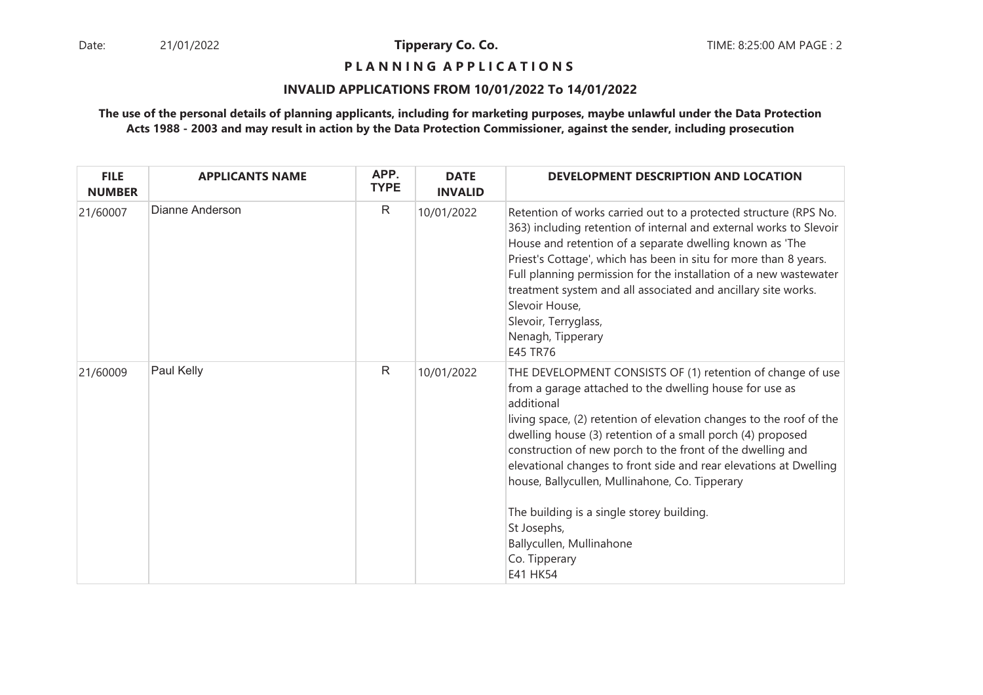**P L A N N I N G A P P L I C A T I O N S** 

#### **INVALID APPLICATIONS FROM 10/01/2022 To 14/01/2022**

| <b>FILE</b><br><b>NUMBER</b> | <b>APPLICANTS NAME</b> | APP.<br><b>TYPE</b> | <b>DATE</b><br><b>INVALID</b> | DEVELOPMENT DESCRIPTION AND LOCATION                                                                                                                                                                                                                                                                                                                                                                                                                                                                                                                                               |
|------------------------------|------------------------|---------------------|-------------------------------|------------------------------------------------------------------------------------------------------------------------------------------------------------------------------------------------------------------------------------------------------------------------------------------------------------------------------------------------------------------------------------------------------------------------------------------------------------------------------------------------------------------------------------------------------------------------------------|
| 21/60007                     | Dianne Anderson        | $\mathsf{R}$        | 10/01/2022                    | Retention of works carried out to a protected structure (RPS No.<br>363) including retention of internal and external works to Slevoir<br>House and retention of a separate dwelling known as 'The<br>Priest's Cottage', which has been in situ for more than 8 years.<br>Full planning permission for the installation of a new wastewater<br>treatment system and all associated and ancillary site works.<br>Slevoir House,<br>Slevoir, Terryglass,<br>Nenagh, Tipperary<br>E45 TR76                                                                                            |
| 21/60009                     | Paul Kelly             | $\mathsf{R}$        | 10/01/2022                    | THE DEVELOPMENT CONSISTS OF (1) retention of change of use<br>from a garage attached to the dwelling house for use as<br>additional<br>living space, (2) retention of elevation changes to the roof of the<br>dwelling house (3) retention of a small porch (4) proposed<br>construction of new porch to the front of the dwelling and<br>elevational changes to front side and rear elevations at Dwelling<br>house, Ballycullen, Mullinahone, Co. Tipperary<br>The building is a single storey building.<br>St Josephs,<br>Ballycullen, Mullinahone<br>Co. Tipperary<br>E41 HK54 |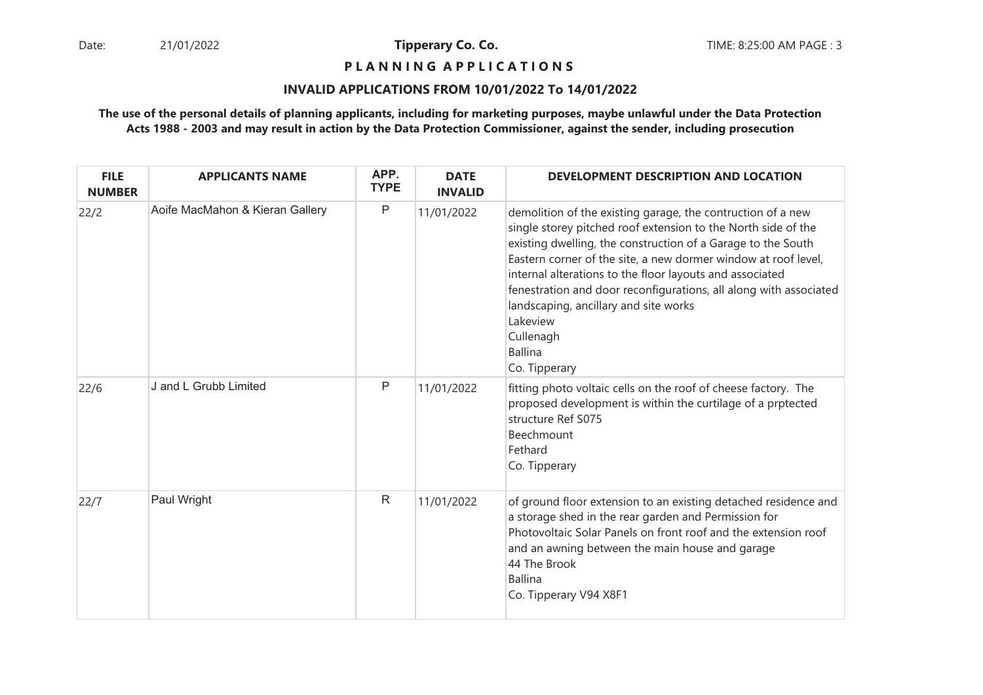**P L A N N I N G A P P L I C A T I O N S** 

#### **INVALID APPLICATIONS FROM 10/01/2022 To 14/01/2022**

| <b>FILE</b><br><b>NUMBER</b> | <b>APPLICANTS NAME</b>          | APP.<br><b>TYPE</b> | <b>DATE</b><br><b>INVALID</b> | DEVELOPMENT DESCRIPTION AND LOCATION                                                                                                                                                                                                                                                                                                                                                                                                                                                                 |
|------------------------------|---------------------------------|---------------------|-------------------------------|------------------------------------------------------------------------------------------------------------------------------------------------------------------------------------------------------------------------------------------------------------------------------------------------------------------------------------------------------------------------------------------------------------------------------------------------------------------------------------------------------|
| 22/2                         | Aoife MacMahon & Kieran Gallery | $\mathsf{P}$        | 11/01/2022                    | demolition of the existing garage, the contruction of a new<br>single storey pitched roof extension to the North side of the<br>existing dwelling, the construction of a Garage to the South<br>Eastern corner of the site, a new dormer window at roof level,<br>internal alterations to the floor layouts and associated<br>fenestration and door reconfigurations, all along with associated<br>landscaping, ancillary and site works<br>Lakeview<br>Cullenagh<br><b>Ballina</b><br>Co. Tipperary |
| 22/6                         | J and L Grubb Limited           | P                   | 11/01/2022                    | fitting photo voltaic cells on the roof of cheese factory. The<br>proposed development is within the curtilage of a prptected<br>structure Ref S075<br>Beechmount<br>Fethard<br>Co. Tipperary                                                                                                                                                                                                                                                                                                        |
| 22/7                         | Paul Wright                     | $\mathsf{R}$        | 11/01/2022                    | of ground floor extension to an existing detached residence and<br>a storage shed in the rear garden and Permission for<br>Photovoltaic Solar Panels on front roof and the extension roof<br>and an awning between the main house and garage<br>44 The Brook<br><b>Ballina</b><br>Co. Tipperary V94 X8F1                                                                                                                                                                                             |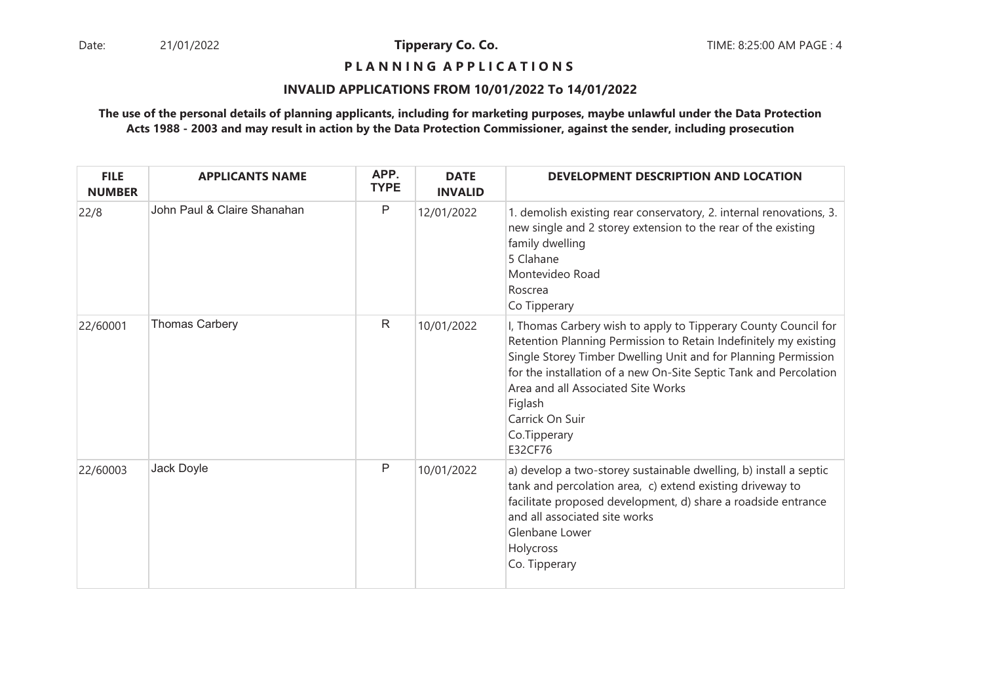## **P L A N N I N G A P P L I C A T I O N S**

#### **INVALID APPLICATIONS FROM 10/01/2022 To 14/01/2022**

| <b>FILE</b><br><b>NUMBER</b> | <b>APPLICANTS NAME</b>      | APP.<br><b>TYPE</b> | <b>DATE</b><br><b>INVALID</b> | DEVELOPMENT DESCRIPTION AND LOCATION                                                                                                                                                                                                                                                                                                                                      |
|------------------------------|-----------------------------|---------------------|-------------------------------|---------------------------------------------------------------------------------------------------------------------------------------------------------------------------------------------------------------------------------------------------------------------------------------------------------------------------------------------------------------------------|
| 22/8                         | John Paul & Claire Shanahan | P                   | 12/01/2022                    | 1. demolish existing rear conservatory, 2. internal renovations, 3.<br>new single and 2 storey extension to the rear of the existing<br>family dwelling<br>5 Clahane<br>Montevideo Road<br>Roscrea<br>Co Tipperary                                                                                                                                                        |
| 22/60001                     | <b>Thomas Carbery</b>       | R                   | 10/01/2022                    | I, Thomas Carbery wish to apply to Tipperary County Council for<br>Retention Planning Permission to Retain Indefinitely my existing<br>Single Storey Timber Dwelling Unit and for Planning Permission<br>for the installation of a new On-Site Septic Tank and Percolation<br>Area and all Associated Site Works<br>Figlash<br>Carrick On Suir<br>Co.Tipperary<br>E32CF76 |
| 22/60003                     | Jack Doyle                  | P                   | 10/01/2022                    | a) develop a two-storey sustainable dwelling, b) install a septic<br>tank and percolation area, c) extend existing driveway to<br>facilitate proposed development, d) share a roadside entrance<br>and all associated site works<br>Glenbane Lower<br>Holycross<br>Co. Tipperary                                                                                          |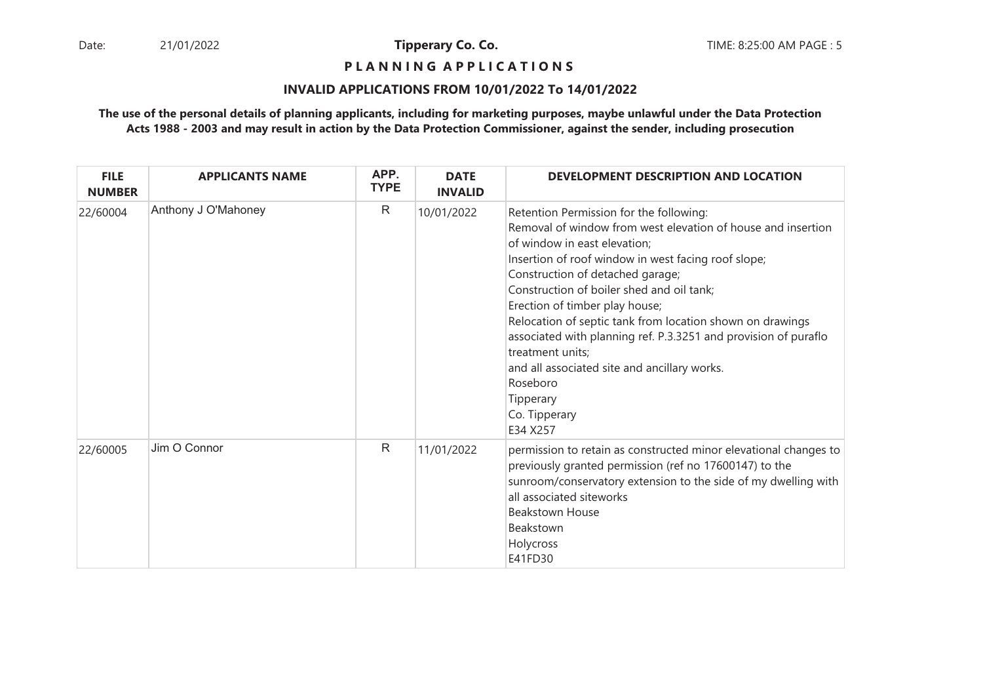**P L A N N I N G A P P L I C A T I O N S** 

#### **INVALID APPLICATIONS FROM 10/01/2022 To 14/01/2022**

| <b>FILE</b><br><b>NUMBER</b> | <b>APPLICANTS NAME</b> | APP.<br><b>TYPE</b> | <b>DATE</b><br><b>INVALID</b> | DEVELOPMENT DESCRIPTION AND LOCATION                                                                                                                                                                                                                                                                                                                                                                                                                                                                                                                                        |
|------------------------------|------------------------|---------------------|-------------------------------|-----------------------------------------------------------------------------------------------------------------------------------------------------------------------------------------------------------------------------------------------------------------------------------------------------------------------------------------------------------------------------------------------------------------------------------------------------------------------------------------------------------------------------------------------------------------------------|
| 22/60004                     | Anthony J O'Mahoney    | $\mathsf{R}$        | 10/01/2022                    | Retention Permission for the following:<br>Removal of window from west elevation of house and insertion<br>of window in east elevation;<br>Insertion of roof window in west facing roof slope;<br>Construction of detached garage;<br>Construction of boiler shed and oil tank;<br>Erection of timber play house;<br>Relocation of septic tank from location shown on drawings<br>associated with planning ref. P.3.3251 and provision of puraflo<br>treatment units;<br>and all associated site and ancillary works.<br>Roseboro<br>Tipperary<br>Co. Tipperary<br>E34 X257 |
| 22/60005                     | Jim O Connor           | $\mathsf{R}$        | 11/01/2022                    | permission to retain as constructed minor elevational changes to<br>previously granted permission (ref no 17600147) to the<br>sunroom/conservatory extension to the side of my dwelling with<br>all associated siteworks<br><b>Beakstown House</b><br>Beakstown<br>Holycross<br>E41FD30                                                                                                                                                                                                                                                                                     |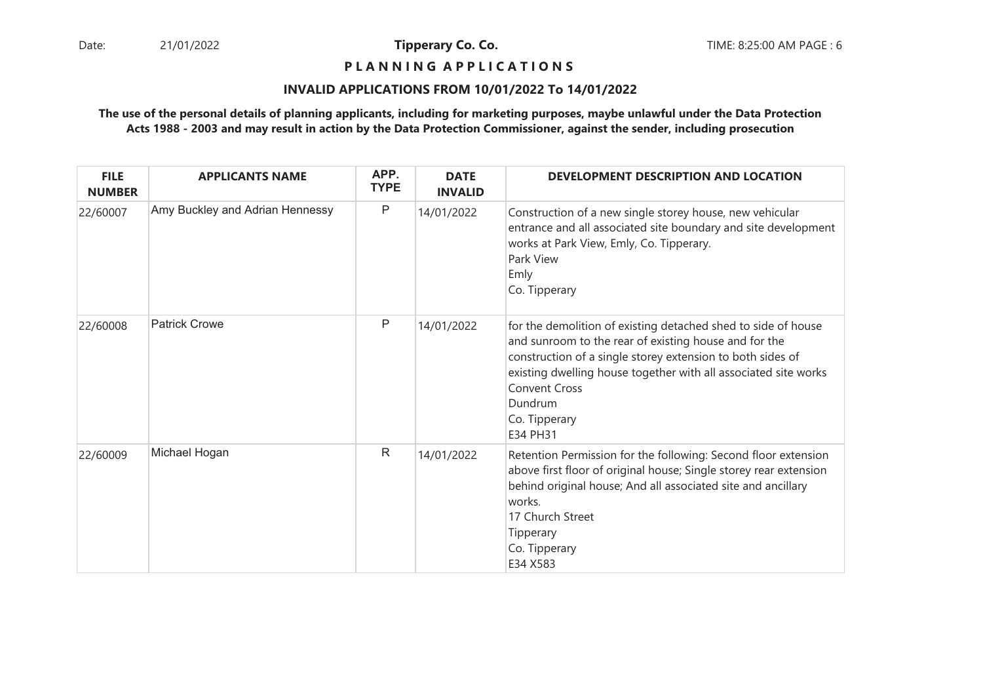## **P L A N N I N G A P P L I C A T I O N S**

#### **INVALID APPLICATIONS FROM 10/01/2022 To 14/01/2022**

| <b>FILE</b><br><b>NUMBER</b> | <b>APPLICANTS NAME</b>          | APP.<br><b>TYPE</b> | <b>DATE</b><br><b>INVALID</b> | DEVELOPMENT DESCRIPTION AND LOCATION                                                                                                                                                                                                                                                                                    |
|------------------------------|---------------------------------|---------------------|-------------------------------|-------------------------------------------------------------------------------------------------------------------------------------------------------------------------------------------------------------------------------------------------------------------------------------------------------------------------|
| 22/60007                     | Amy Buckley and Adrian Hennessy | $\mathsf{P}$        | 14/01/2022                    | Construction of a new single storey house, new vehicular<br>entrance and all associated site boundary and site development<br>works at Park View, Emly, Co. Tipperary.<br>Park View<br>Emly<br>Co. Tipperary                                                                                                            |
| 22/60008                     | <b>Patrick Crowe</b>            | P                   | 14/01/2022                    | for the demolition of existing detached shed to side of house<br>and sunroom to the rear of existing house and for the<br>construction of a single storey extension to both sides of<br>existing dwelling house together with all associated site works<br><b>Convent Cross</b><br>Dundrum<br>Co. Tipperary<br>E34 PH31 |
| 22/60009                     | Michael Hogan                   | $\mathsf R$         | 14/01/2022                    | Retention Permission for the following: Second floor extension<br>above first floor of original house; Single storey rear extension<br>behind original house; And all associated site and ancillary<br>works.<br>17 Church Street<br>Tipperary<br>Co. Tipperary<br>E34 X583                                             |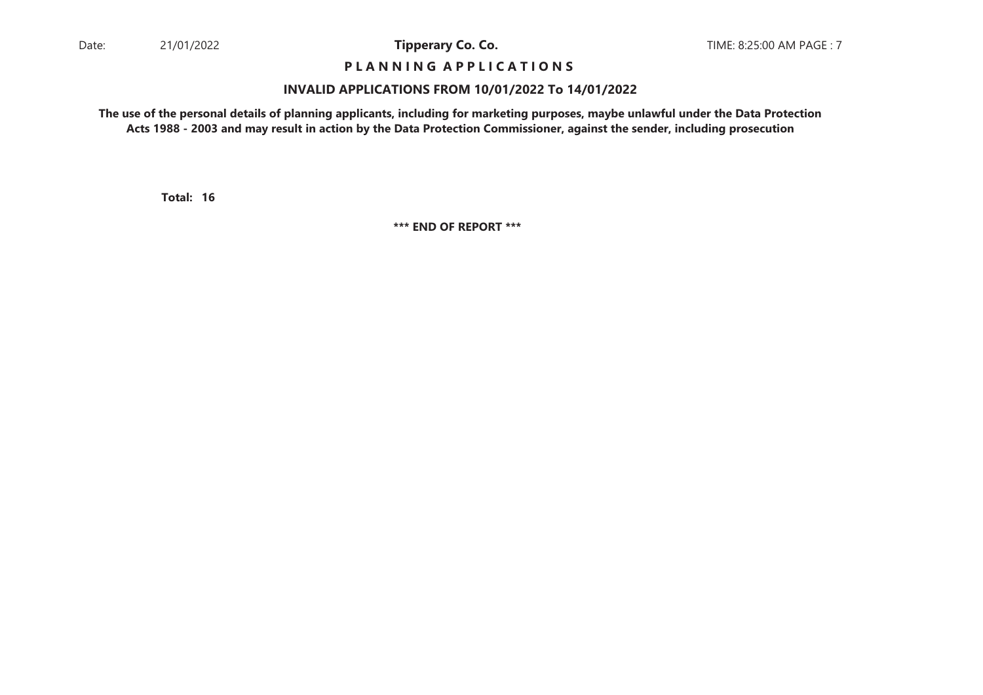## **P L A N N I N G A P P L I C A T I O N S**

#### **INVALID APPLICATIONS FROM 10/01/2022 To 14/01/2022**

**The use of the personal details of planning applicants, including for marketing purposes, maybe unlawful under the Data ProtectionActs 1988 - 2003 and may result in action by the Data Protection Commissioner, against the sender, including prosecution**

**16Total:**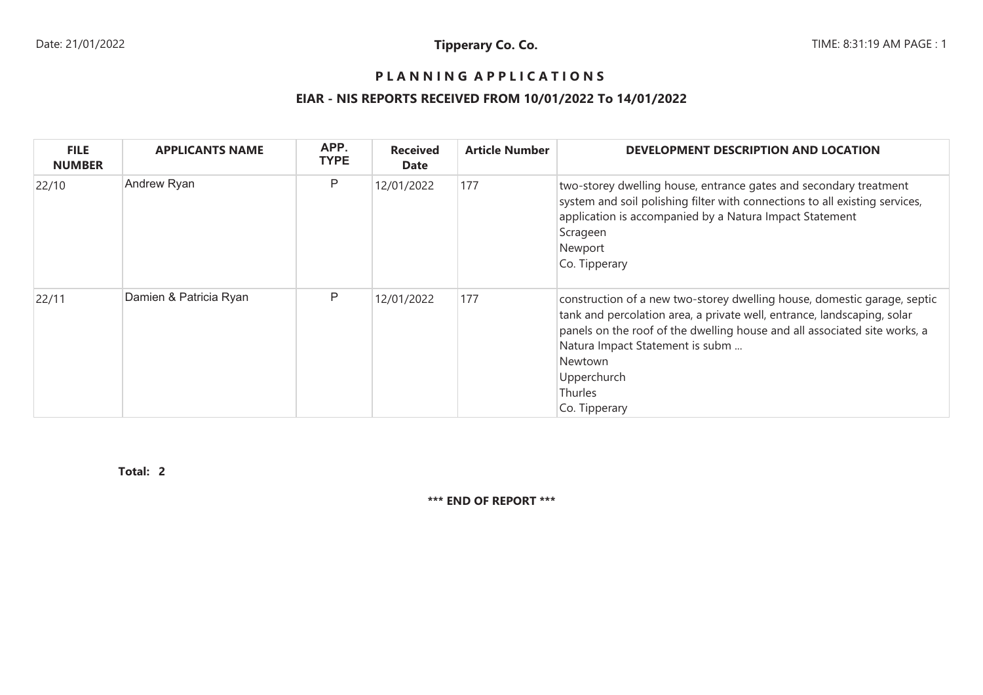## **P L A N N I N G A P P L I C A T I O N S**

## **EIAR - NIS REPORTS RECEIVED FROM 10/01/2022 To 14/01/2022**

| <b>FILE</b><br><b>NUMBER</b> | <b>APPLICANTS NAME</b> | APP.<br><b>TYPE</b> | <b>Received</b><br>Date | <b>Article Number</b> | DEVELOPMENT DESCRIPTION AND LOCATION                                                                                                                                                                                                                                                                                      |
|------------------------------|------------------------|---------------------|-------------------------|-----------------------|---------------------------------------------------------------------------------------------------------------------------------------------------------------------------------------------------------------------------------------------------------------------------------------------------------------------------|
| 22/10                        | Andrew Ryan            | P                   | 12/01/2022              | 177                   | two-storey dwelling house, entrance gates and secondary treatment<br>system and soil polishing filter with connections to all existing services,<br>application is accompanied by a Natura Impact Statement<br>Scrageen<br>Newport<br>Co. Tipperary                                                                       |
| 22/11                        | Damien & Patricia Ryan | P                   | 12/01/2022              | 177                   | construction of a new two-storey dwelling house, domestic garage, septic<br>tank and percolation area, a private well, entrance, landscaping, solar<br>panels on the roof of the dwelling house and all associated site works, a<br>Natura Impact Statement is subm<br>Newtown<br>Upperchurch<br>Thurles<br>Co. Tipperary |

**2Total:**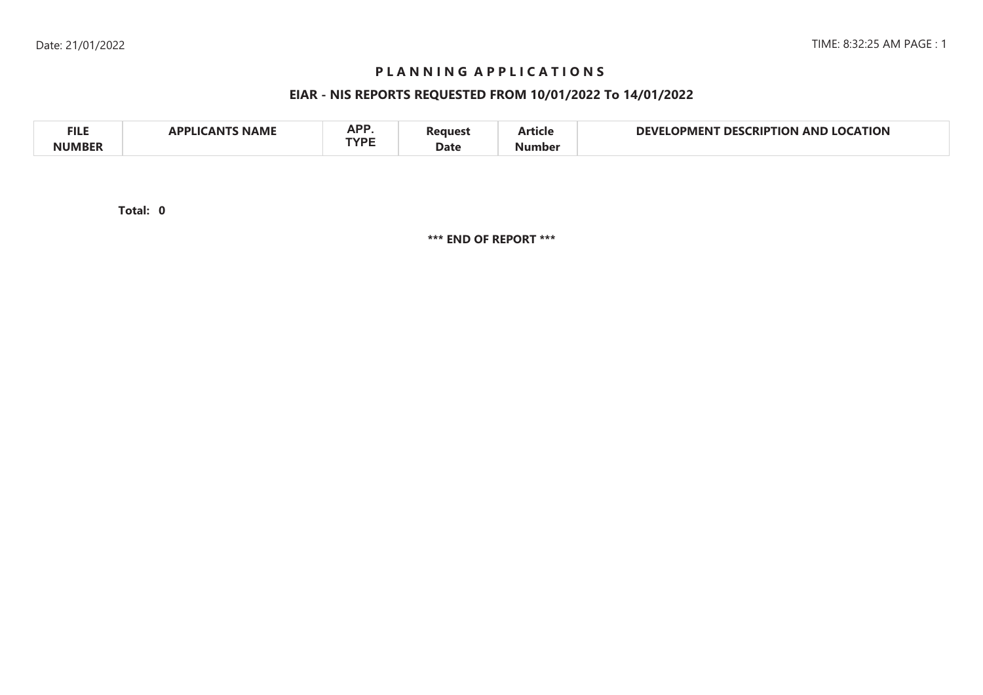## **P L A N N I N G A P P L I C A T I O N S**

## **EIAR - NIS REPORTS REQUESTED FROM 10/01/2022 To 14/01/2022**

| <b>FILE</b>   | <b>NAME</b><br>'ANT | A D D<br>nr i<br><b>TVDE</b> | <b>Peaues</b> | $-$<br>Article | <b>LOCATION</b><br><b>DEVI</b><br><b>ERIPTION</b><br>DFS.<br>JPMENT<br>AND |
|---------------|---------------------|------------------------------|---------------|----------------|----------------------------------------------------------------------------|
| <b>NUMBER</b> |                     |                              | Date          | Number         |                                                                            |

**0Total:**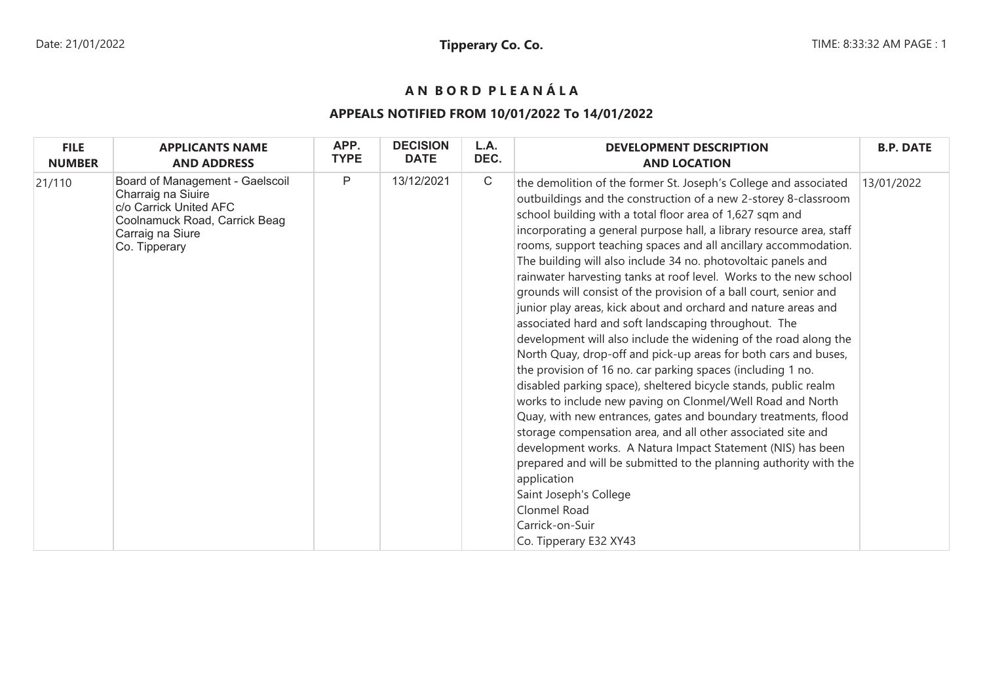# **A N B O R D P L E A N Á L A**

## **APPEALS NOTIFIED FROM 10/01/2022 To 14/01/2022**

| <b>FILE</b>   | <b>APPLICANTS NAME</b>                                                                                                                                | APP.         | <b>DECISION</b> | L.A.         | <b>DEVELOPMENT DESCRIPTION</b>                                                                                                                                                                                                                                                                                                                                                                                                                                                                                                                                                                                                                                                                                                                                                                                                                                                                                                                                                                                                                                                                                                                                                                                                                                                                                                                                                                     | <b>B.P. DATE</b> |
|---------------|-------------------------------------------------------------------------------------------------------------------------------------------------------|--------------|-----------------|--------------|----------------------------------------------------------------------------------------------------------------------------------------------------------------------------------------------------------------------------------------------------------------------------------------------------------------------------------------------------------------------------------------------------------------------------------------------------------------------------------------------------------------------------------------------------------------------------------------------------------------------------------------------------------------------------------------------------------------------------------------------------------------------------------------------------------------------------------------------------------------------------------------------------------------------------------------------------------------------------------------------------------------------------------------------------------------------------------------------------------------------------------------------------------------------------------------------------------------------------------------------------------------------------------------------------------------------------------------------------------------------------------------------------|------------------|
| <b>NUMBER</b> | <b>AND ADDRESS</b>                                                                                                                                    | <b>TYPE</b>  | <b>DATE</b>     | DEC.         | <b>AND LOCATION</b>                                                                                                                                                                                                                                                                                                                                                                                                                                                                                                                                                                                                                                                                                                                                                                                                                                                                                                                                                                                                                                                                                                                                                                                                                                                                                                                                                                                |                  |
| 21/110        | Board of Management - Gaelscoil<br>Charraig na Siuire<br>c/o Carrick United AFC<br>Coolnamuck Road, Carrick Beag<br>Carraig na Siure<br>Co. Tipperary | $\mathsf{P}$ | 13/12/2021      | $\mathsf{C}$ | the demolition of the former St. Joseph's College and associated<br>outbuildings and the construction of a new 2-storey 8-classroom<br>school building with a total floor area of 1,627 sqm and<br>incorporating a general purpose hall, a library resource area, staff<br>rooms, support teaching spaces and all ancillary accommodation.<br>The building will also include 34 no. photovoltaic panels and<br>rainwater harvesting tanks at roof level. Works to the new school<br>grounds will consist of the provision of a ball court, senior and<br>junior play areas, kick about and orchard and nature areas and<br>associated hard and soft landscaping throughout. The<br>development will also include the widening of the road along the<br>North Quay, drop-off and pick-up areas for both cars and buses,<br>the provision of 16 no. car parking spaces (including 1 no.<br>disabled parking space), sheltered bicycle stands, public realm<br>works to include new paving on Clonmel/Well Road and North<br>Quay, with new entrances, gates and boundary treatments, flood<br>storage compensation area, and all other associated site and<br>development works. A Natura Impact Statement (NIS) has been<br>prepared and will be submitted to the planning authority with the<br>application<br>Saint Joseph's College<br>Clonmel Road<br>Carrick-on-Suir<br>Co. Tipperary E32 XY43 | 13/01/2022       |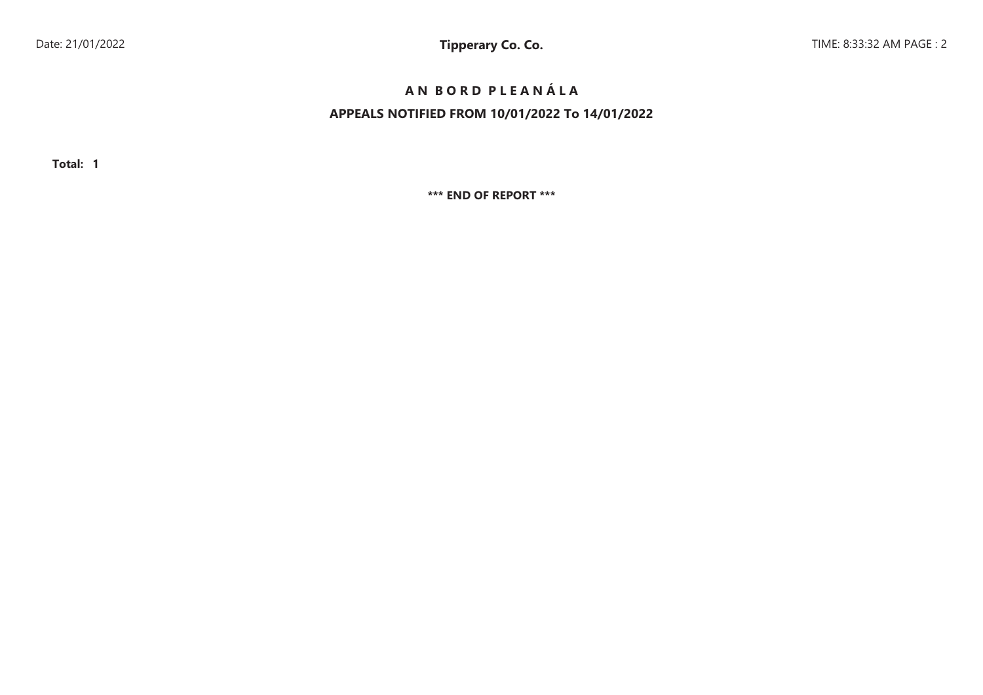# **A N B O R D P L E A N Á L A**

## **APPEALS NOTIFIED FROM 10/01/2022 To 14/01/2022**

**Total: 1**